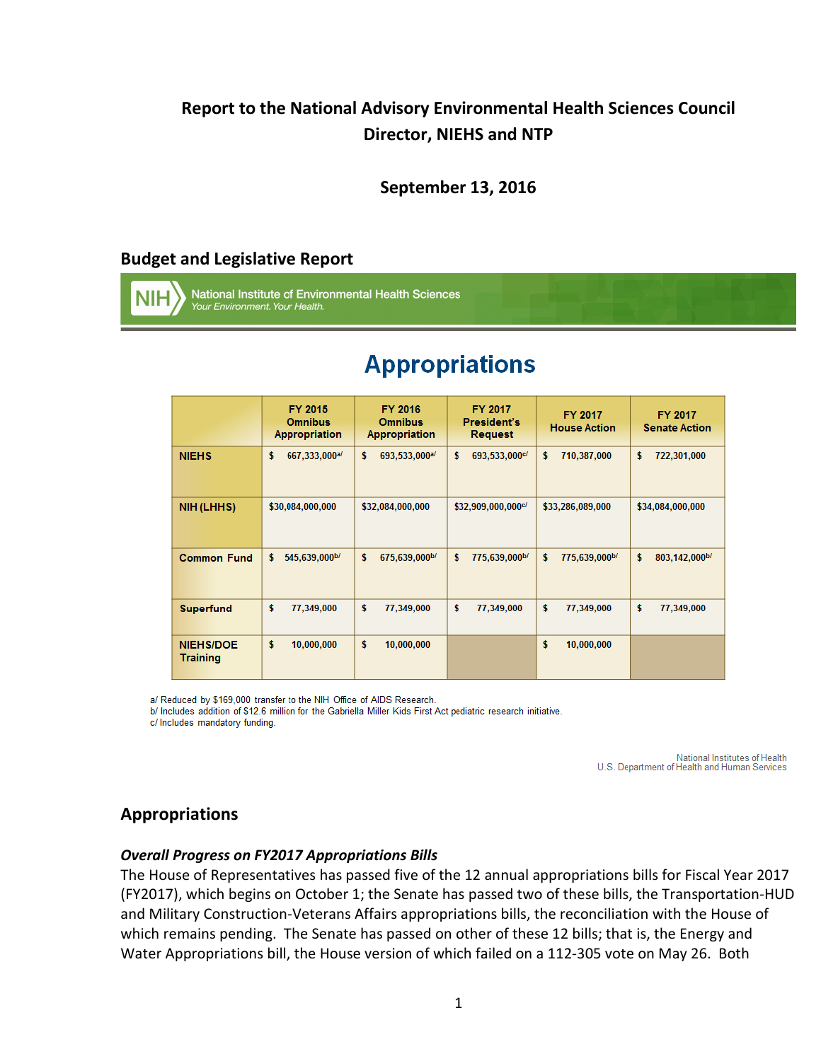# **Report to the National Advisory Environmental Health Sciences Council Director, NIEHS and NTP**

# **September 13, 2016**

# **Budget and Legislative Report**

National Institute of Environmental Health Sciences Your Environment. Your Health.

|                                     | FY 2015<br><b>Omnibus</b><br>Appropriation | FY 2016<br><b>Omnibus</b><br>Appropriation | <b>FY 2017</b><br>President's<br><b>Request</b> | <b>FY 2017</b><br><b>House Action</b> | FY 2017<br><b>Senate Action</b> |
|-------------------------------------|--------------------------------------------|--------------------------------------------|-------------------------------------------------|---------------------------------------|---------------------------------|
| <b>NIEHS</b>                        | 667,333,000a/                              | \$                                         | \$                                              | \$                                    | \$                              |
|                                     | \$                                         | 693,533,000a/                              | 693,533,000 <sup>c/</sup>                       | 710,387,000                           | 722,301,000                     |
| NIH (LHHS)                          | \$30,084,000,000                           | \$32,084,000,000                           | \$32,909,000,000 <sup>c/</sup>                  | \$33,286,089,000                      | \$34,084,000,000                |
| <b>Common Fund</b>                  | \$                                         | \$                                         | \$                                              | \$                                    | \$                              |
|                                     | 545,639,000b/                              | 675,639,000b/                              | 775,639,000b/                                   | 775,639,000b/                         | 803,142,000b/                   |
| <b>Superfund</b>                    | \$                                         | \$                                         | \$                                              | \$                                    | \$                              |
|                                     | 77,349,000                                 | 77,349,000                                 | 77,349,000                                      | 77,349,000                            | 77,349,000                      |
| <b>NIEHS/DOE</b><br><b>Training</b> | \$<br>10,000,000                           | \$<br>10,000,000                           |                                                 | \$<br>10,000,000                      |                                 |

# **Appropriations**

a/ Reduced by \$169,000 transfer to the NIH Office of AIDS Research.

b/ Includes addition of \$12.6 million for the Gabriella Miller Kids First Act pediatric research initiative.

c/ Includes mandatory funding.

National Institutes of Health U.S. Department of Health and Human Services

# **Appropriations**

#### *Overall Progress on FY2017 Appropriations Bills*

The House of Representatives has passed five of the 12 annual appropriations bills for Fiscal Year 2017 (FY2017), which begins on October 1; the Senate has passed two of these bills, the Transportation-HUD and Military Construction-Veterans Affairs appropriations bills, the reconciliation with the House of which remains pending. The Senate has passed on other of these 12 bills; that is, the Energy and Water Appropriations bill, the House version of which failed on a 112-305 vote on May 26. Both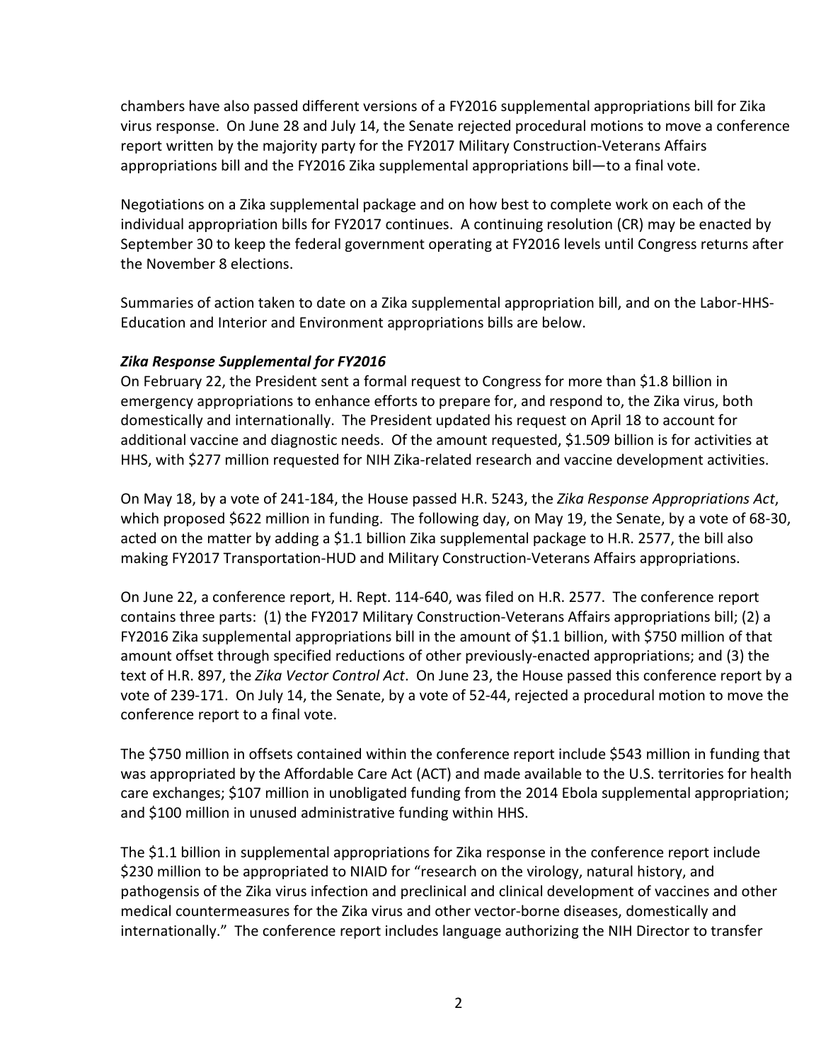chambers have also passed different versions of a FY2016 supplemental appropriations bill for Zika virus response. On June 28 and July 14, the Senate rejected procedural motions to move a conference report written by the majority party for the FY2017 Military Construction-Veterans Affairs appropriations bill and the FY2016 Zika supplemental appropriations bill—to a final vote.

Negotiations on a Zika supplemental package and on how best to complete work on each of the individual appropriation bills for FY2017 continues. A continuing resolution (CR) may be enacted by September 30 to keep the federal government operating at FY2016 levels until Congress returns after the November 8 elections.

Summaries of action taken to date on a Zika supplemental appropriation bill, and on the Labor-HHS-Education and Interior and Environment appropriations bills are below.

#### *Zika Response Supplemental for FY2016*

On February 22, the President sent a formal request to Congress for more than \$1.8 billion in emergency appropriations to enhance efforts to prepare for, and respond to, the Zika virus, both domestically and internationally. The President updated his request on April 18 to account for additional vaccine and diagnostic needs. Of the amount requested, \$1.509 billion is for activities at HHS, with \$277 million requested for NIH Zika-related research and vaccine development activities.

On May 18, by a vote of 241-184, the House passed H.R. 5243, the *Zika Response Appropriations Act*, which proposed \$622 million in funding. The following day, on May 19, the Senate, by a vote of 68-30, acted on the matter by adding a \$1.1 billion Zika supplemental package to H.R. 2577, the bill also making FY2017 Transportation-HUD and Military Construction-Veterans Affairs appropriations.

On June 22, a conference report, H. Rept. 114-640, was filed on H.R. 2577. The conference report contains three parts: (1) the FY2017 Military Construction-Veterans Affairs appropriations bill; (2) a FY2016 Zika supplemental appropriations bill in the amount of \$1.1 billion, with \$750 million of that amount offset through specified reductions of other previously-enacted appropriations; and (3) the text of H.R. 897, the *Zika Vector Control Act*. On June 23, the House passed this conference report by a vote of 239-171. On July 14, the Senate, by a vote of 52-44, rejected a procedural motion to move the conference report to a final vote.

The \$750 million in offsets contained within the conference report include \$543 million in funding that was appropriated by the Affordable Care Act (ACT) and made available to the U.S. territories for health care exchanges; \$107 million in unobligated funding from the 2014 Ebola supplemental appropriation; and \$100 million in unused administrative funding within HHS.

The \$1.1 billion in supplemental appropriations for Zika response in the conference report include \$230 million to be appropriated to NIAID for "research on the virology, natural history, and pathogensis of the Zika virus infection and preclinical and clinical development of vaccines and other medical countermeasures for the Zika virus and other vector-borne diseases, domestically and internationally." The conference report includes language authorizing the NIH Director to transfer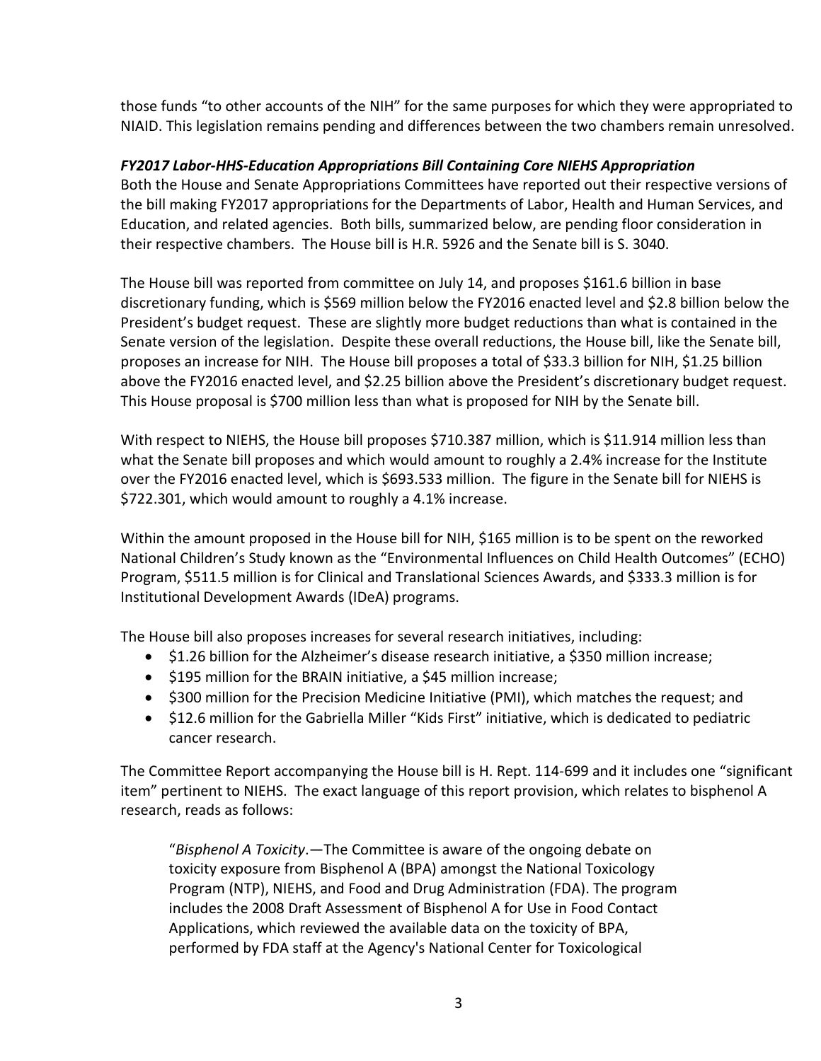those funds "to other accounts of the NIH" for the same purposes for which they were appropriated to NIAID. This legislation remains pending and differences between the two chambers remain unresolved.

#### *FY2017 Labor-HHS-Education Appropriations Bill Containing Core NIEHS Appropriation*

Both the House and Senate Appropriations Committees have reported out their respective versions of the bill making FY2017 appropriations for the Departments of Labor, Health and Human Services, and Education, and related agencies. Both bills, summarized below, are pending floor consideration in their respective chambers. The House bill is H.R. 5926 and the Senate bill is S. 3040.

The House bill was reported from committee on July 14, and proposes \$161.6 billion in base discretionary funding, which is \$569 million below the FY2016 enacted level and \$2.8 billion below the President's budget request. These are slightly more budget reductions than what is contained in the Senate version of the legislation. Despite these overall reductions, the House bill, like the Senate bill, proposes an increase for NIH. The House bill proposes a total of \$33.3 billion for NIH, \$1.25 billion above the FY2016 enacted level, and \$2.25 billion above the President's discretionary budget request. This House proposal is \$700 million less than what is proposed for NIH by the Senate bill.

With respect to NIEHS, the House bill proposes \$710.387 million, which is \$11.914 million less than what the Senate bill proposes and which would amount to roughly a 2.4% increase for the Institute over the FY2016 enacted level, which is \$693.533 million. The figure in the Senate bill for NIEHS is \$722.301, which would amount to roughly a 4.1% increase.

Within the amount proposed in the House bill for NIH, \$165 million is to be spent on the reworked National Children's Study known as the "Environmental Influences on Child Health Outcomes" (ECHO) Program, \$511.5 million is for Clinical and Translational Sciences Awards, and \$333.3 million is for Institutional Development Awards (IDeA) programs.

The House bill also proposes increases for several research initiatives, including:

- \$1.26 billion for the Alzheimer's disease research initiative, a \$350 million increase;
- \$195 million for the BRAIN initiative, a \$45 million increase;
- \$300 million for the Precision Medicine Initiative (PMI), which matches the request; and
- \$12.6 million for the Gabriella Miller "Kids First" initiative, which is dedicated to pediatric cancer research.

The Committee Report accompanying the House bill is H. Rept. 114-699 and it includes one "significant item" pertinent to NIEHS. The exact language of this report provision, which relates to bisphenol A research, reads as follows:

"*Bisphenol A Toxicity*.—The Committee is aware of the ongoing debate on toxicity exposure from Bisphenol A (BPA) amongst the National Toxicology Program (NTP), NIEHS, and Food and Drug Administration (FDA). The program includes the 2008 Draft Assessment of Bisphenol A for Use in Food Contact Applications, which reviewed the available data on the toxicity of BPA, performed by FDA staff at the Agency's National Center for Toxicological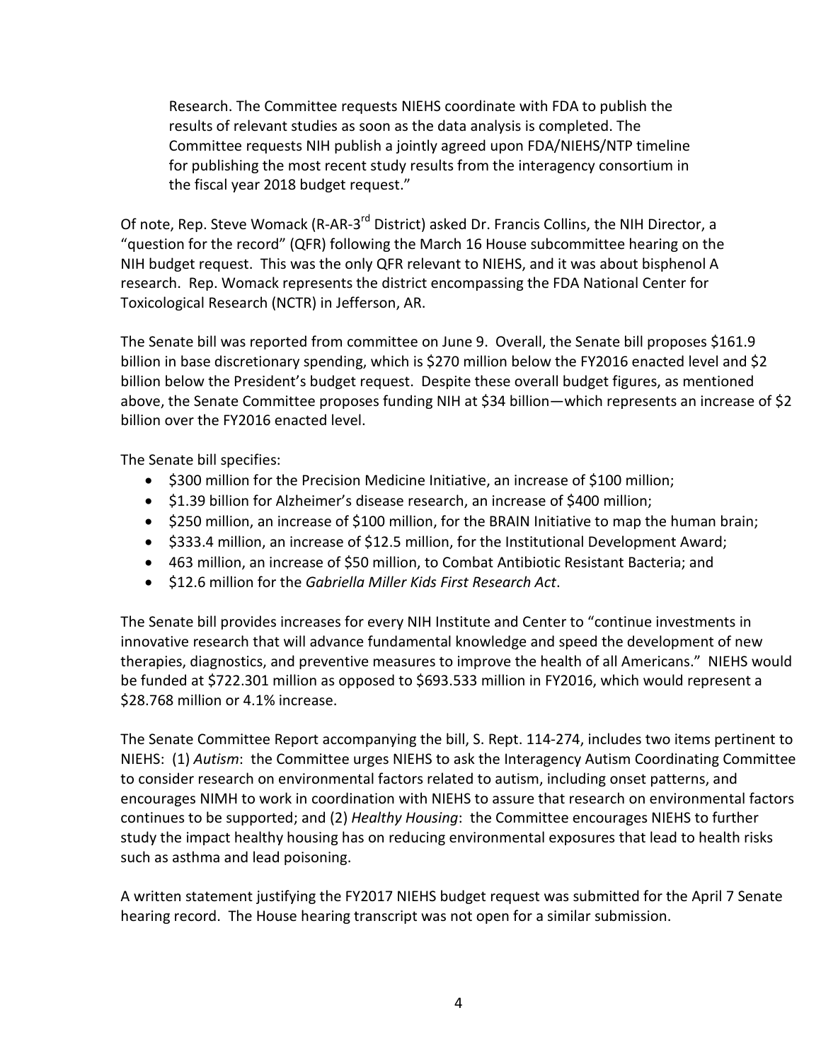Research. The Committee requests NIEHS coordinate with FDA to publish the results of relevant studies as soon as the data analysis is completed. The Committee requests NIH publish a jointly agreed upon FDA/NIEHS/NTP timeline for publishing the most recent study results from the interagency consortium in the fiscal year 2018 budget request."

Of note, Rep. Steve Womack (R-AR-3<sup>rd</sup> District) asked Dr. Francis Collins, the NIH Director, a "question for the record" (QFR) following the March 16 House subcommittee hearing on the NIH budget request. This was the only QFR relevant to NIEHS, and it was about bisphenol A research. Rep. Womack represents the district encompassing the FDA National Center for Toxicological Research (NCTR) in Jefferson, AR.

The Senate bill was reported from committee on June 9. Overall, the Senate bill proposes \$161.9 billion in base discretionary spending, which is \$270 million below the FY2016 enacted level and \$2 billion below the President's budget request. Despite these overall budget figures, as mentioned above, the Senate Committee proposes funding NIH at \$34 billion—which represents an increase of \$2 billion over the FY2016 enacted level.

The Senate bill specifies:

- \$300 million for the Precision Medicine Initiative, an increase of \$100 million;
- \$1.39 billion for Alzheimer's disease research, an increase of \$400 million;
- \$250 million, an increase of \$100 million, for the BRAIN Initiative to map the human brain;
- \$333.4 million, an increase of \$12.5 million, for the Institutional Development Award;
- 463 million, an increase of \$50 million, to Combat Antibiotic Resistant Bacteria; and
- \$12.6 million for the *Gabriella Miller Kids First Research Act*.

The Senate bill provides increases for every NIH Institute and Center to "continue investments in innovative research that will advance fundamental knowledge and speed the development of new therapies, diagnostics, and preventive measures to improve the health of all Americans." NIEHS would be funded at \$722.301 million as opposed to \$693.533 million in FY2016, which would represent a \$28.768 million or 4.1% increase.

The Senate Committee Report accompanying the bill, S. Rept. 114-274, includes two items pertinent to NIEHS: (1) *Autism*: the Committee urges NIEHS to ask the Interagency Autism Coordinating Committee to consider research on environmental factors related to autism, including onset patterns, and encourages NIMH to work in coordination with NIEHS to assure that research on environmental factors continues to be supported; and (2) *Healthy Housing*: the Committee encourages NIEHS to further study the impact healthy housing has on reducing environmental exposures that lead to health risks such as asthma and lead poisoning.

A written statement justifying the FY2017 NIEHS budget request was submitted for the April 7 Senate hearing record. The House hearing transcript was not open for a similar submission.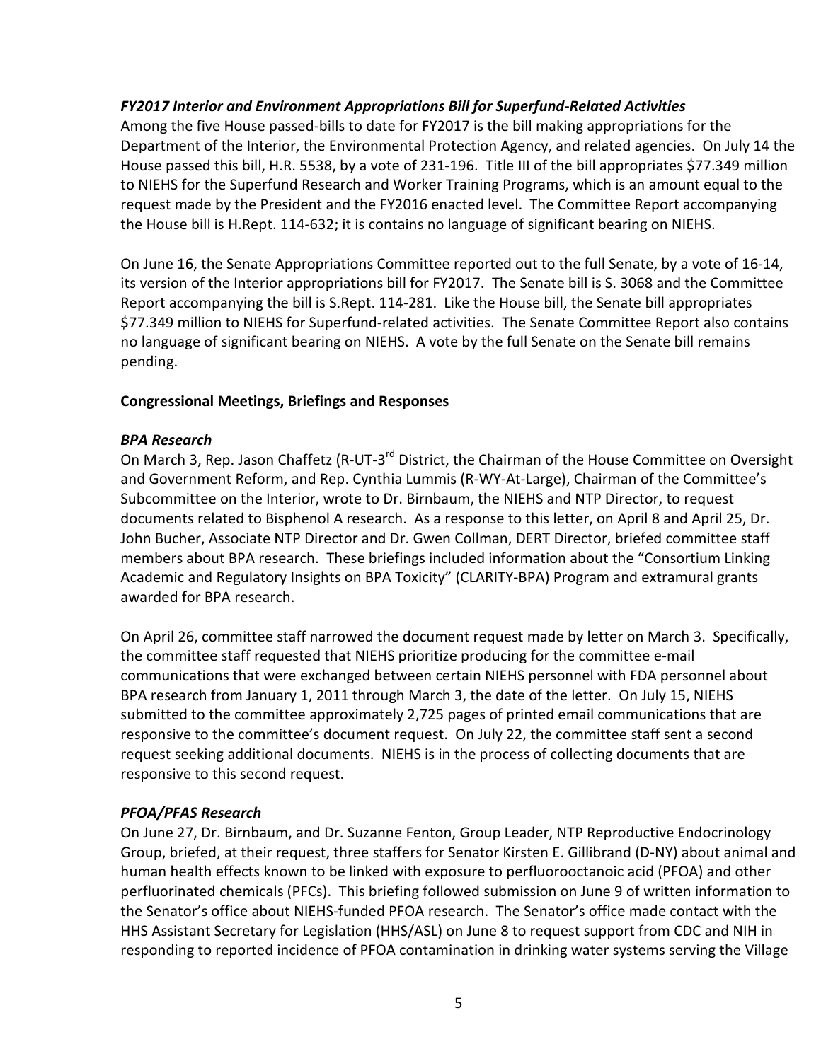#### *FY2017 Interior and Environment Appropriations Bill for Superfund-Related Activities*

Among the five House passed-bills to date for FY2017 is the bill making appropriations for the Department of the Interior, the Environmental Protection Agency, and related agencies. On July 14 the House passed this bill, H.R. 5538, by a vote of 231-196. Title III of the bill appropriates \$77.349 million to NIEHS for the Superfund Research and Worker Training Programs, which is an amount equal to the request made by the President and the FY2016 enacted level. The Committee Report accompanying the House bill is H.Rept. 114-632; it is contains no language of significant bearing on NIEHS.

On June 16, the Senate Appropriations Committee reported out to the full Senate, by a vote of 16-14, its version of the Interior appropriations bill for FY2017. The Senate bill is S. 3068 and the Committee Report accompanying the bill is S.Rept. 114-281. Like the House bill, the Senate bill appropriates \$77.349 million to NIEHS for Superfund-related activities. The Senate Committee Report also contains no language of significant bearing on NIEHS. A vote by the full Senate on the Senate bill remains pending.

#### **Congressional Meetings, Briefings and Responses**

#### *BPA Research*

On March 3, Rep. Jason Chaffetz (R-UT-3<sup>rd</sup> District, the Chairman of the House Committee on Oversight and Government Reform, and Rep. Cynthia Lummis (R-WY-At-Large), Chairman of the Committee's Subcommittee on the Interior, wrote to Dr. Birnbaum, the NIEHS and NTP Director, to request documents related to Bisphenol A research. As a response to this letter, on April 8 and April 25, Dr. John Bucher, Associate NTP Director and Dr. Gwen Collman, DERT Director, briefed committee staff members about BPA research. These briefings included information about the "Consortium Linking Academic and Regulatory Insights on BPA Toxicity" (CLARITY-BPA) Program and extramural grants awarded for BPA research.

On April 26, committee staff narrowed the document request made by letter on March 3. Specifically, the committee staff requested that NIEHS prioritize producing for the committee e-mail communications that were exchanged between certain NIEHS personnel with FDA personnel about BPA research from January 1, 2011 through March 3, the date of the letter. On July 15, NIEHS submitted to the committee approximately 2,725 pages of printed email communications that are responsive to the committee's document request. On July 22, the committee staff sent a second request seeking additional documents. NIEHS is in the process of collecting documents that are responsive to this second request.

#### *PFOA/PFAS Research*

On June 27, Dr. Birnbaum, and Dr. Suzanne Fenton, Group Leader, NTP Reproductive Endocrinology Group, briefed, at their request, three staffers for Senator Kirsten E. Gillibrand (D-NY) about animal and human health effects known to be linked with exposure to perfluorooctanoic acid (PFOA) and other perfluorinated chemicals (PFCs). This briefing followed submission on June 9 of written information to the Senator's office about NIEHS-funded PFOA research. The Senator's office made contact with the HHS Assistant Secretary for Legislation (HHS/ASL) on June 8 to request support from CDC and NIH in responding to reported incidence of PFOA contamination in drinking water systems serving the Village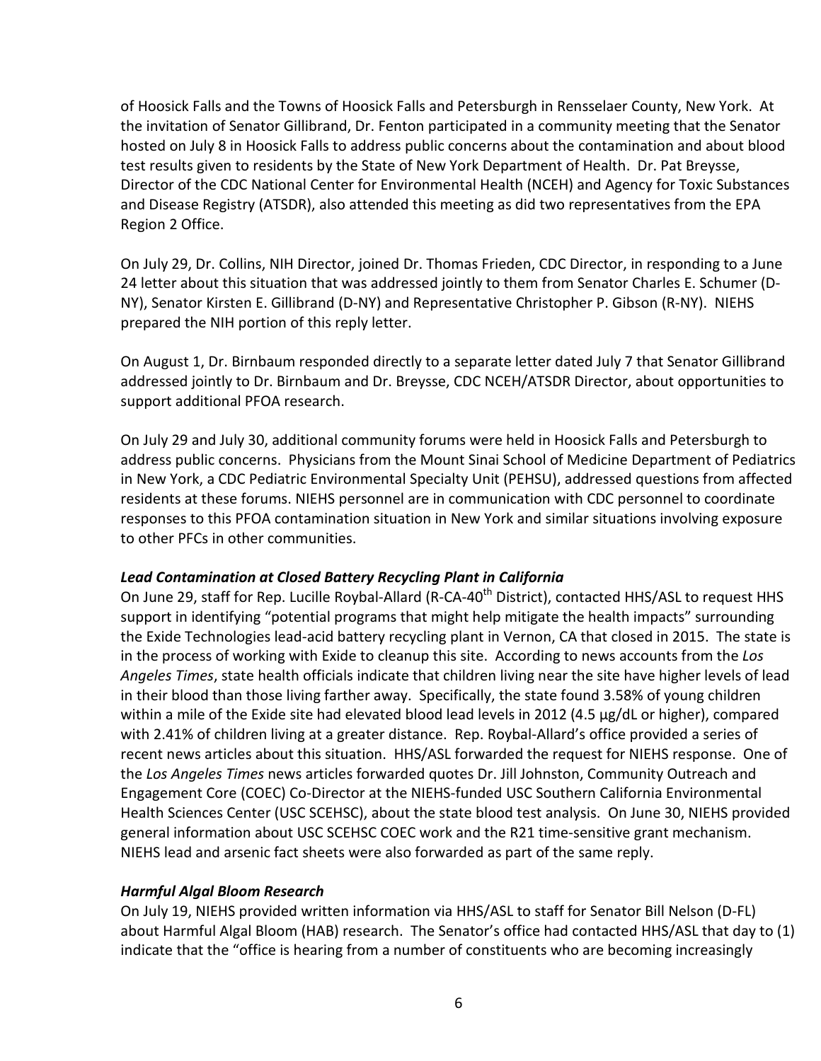of Hoosick Falls and the Towns of Hoosick Falls and Petersburgh in Rensselaer County, New York. At the invitation of Senator Gillibrand, Dr. Fenton participated in a community meeting that the Senator hosted on July 8 in Hoosick Falls to address public concerns about the contamination and about blood test results given to residents by the State of New York Department of Health. Dr. Pat Breysse, Director of the CDC National Center for Environmental Health (NCEH) and Agency for Toxic Substances and Disease Registry (ATSDR), also attended this meeting as did two representatives from the EPA Region 2 Office.

On July 29, Dr. Collins, NIH Director, joined Dr. Thomas Frieden, CDC Director, in responding to a June 24 letter about this situation that was addressed jointly to them from Senator Charles E. Schumer (D-NY), Senator Kirsten E. Gillibrand (D-NY) and Representative Christopher P. Gibson (R-NY). NIEHS prepared the NIH portion of this reply letter.

On August 1, Dr. Birnbaum responded directly to a separate letter dated July 7 that Senator Gillibrand addressed jointly to Dr. Birnbaum and Dr. Breysse, CDC NCEH/ATSDR Director, about opportunities to support additional PFOA research.

On July 29 and July 30, additional community forums were held in Hoosick Falls and Petersburgh to address public concerns. Physicians from the Mount Sinai School of Medicine Department of Pediatrics in New York, a CDC Pediatric Environmental Specialty Unit (PEHSU), addressed questions from affected residents at these forums. NIEHS personnel are in communication with CDC personnel to coordinate responses to this PFOA contamination situation in New York and similar situations involving exposure to other PFCs in other communities.

#### *Lead Contamination at Closed Battery Recycling Plant in California*

On June 29, staff for Rep. Lucille Roybal-Allard (R-CA-40<sup>th</sup> District), contacted HHS/ASL to request HHS support in identifying "potential programs that might help mitigate the health impacts" surrounding the Exide Technologies lead-acid battery recycling plant in Vernon, CA that closed in 2015. The state is in the process of working with Exide to cleanup this site. According to news accounts from the *Los Angeles Times*, state health officials indicate that children living near the site have higher levels of lead in their blood than those living farther away. Specifically, the state found 3.58% of young children within a mile of the Exide site had elevated blood lead levels in 2012 (4.5 μg/dL or higher), compared with 2.41% of children living at a greater distance. Rep. Roybal-Allard's office provided a series of recent news articles about this situation. HHS/ASL forwarded the request for NIEHS response. One of the *Los Angeles Times* news articles forwarded quotes Dr. Jill Johnston, Community Outreach and Engagement Core (COEC) Co-Director at the NIEHS-funded USC Southern California Environmental Health Sciences Center (USC SCEHSC), about the state blood test analysis. On June 30, NIEHS provided general information about USC SCEHSC COEC work and the R21 time-sensitive grant mechanism. NIEHS lead and arsenic fact sheets were also forwarded as part of the same reply.

#### *Harmful Algal Bloom Research*

On July 19, NIEHS provided written information via HHS/ASL to staff for Senator Bill Nelson (D-FL) about Harmful Algal Bloom (HAB) research. The Senator's office had contacted HHS/ASL that day to (1) indicate that the "office is hearing from a number of constituents who are becoming increasingly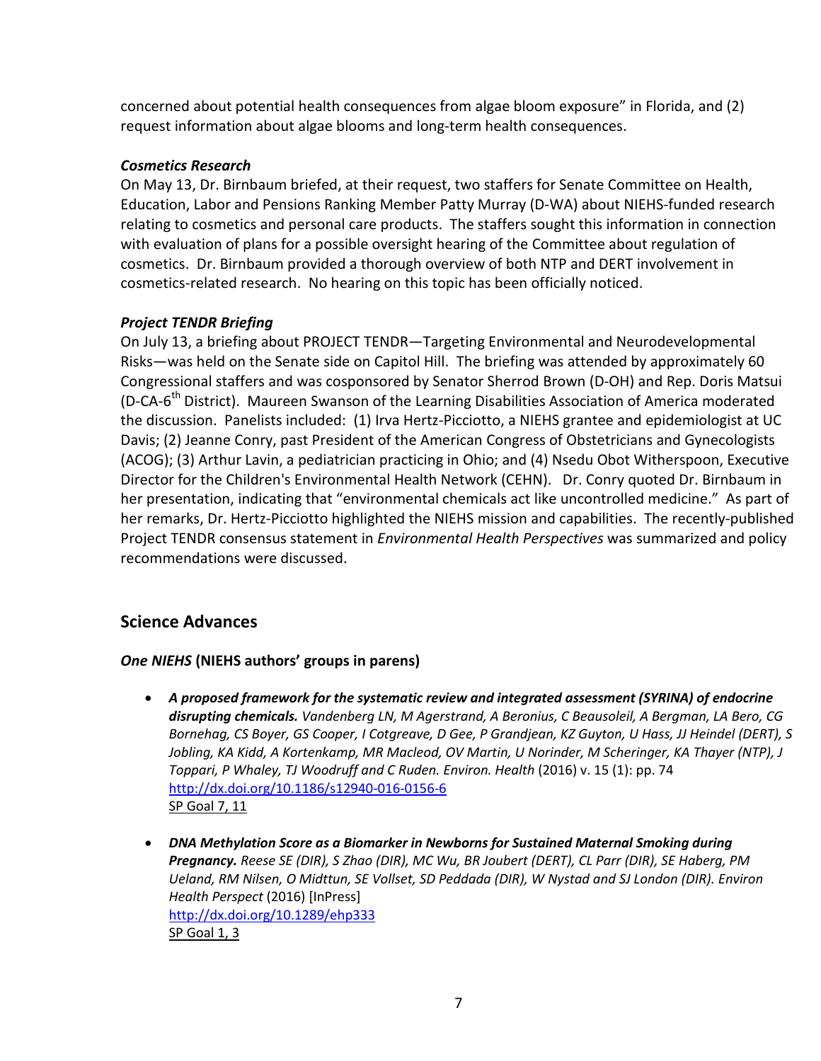concerned about potential health consequences from algae bloom exposure" in Florida, and (2) request information about algae blooms and long-term health consequences.

## *Cosmetics Research*

On May 13, Dr. Birnbaum briefed, at their request, two staffers for Senate Committee on Health, Education, Labor and Pensions Ranking Member Patty Murray (D-WA) about NIEHS-funded research relating to cosmetics and personal care products. The staffers sought this information in connection with evaluation of plans for a possible oversight hearing of the Committee about regulation of cosmetics. Dr. Birnbaum provided a thorough overview of both NTP and DERT involvement in cosmetics-related research. No hearing on this topic has been officially noticed.

### *Project TENDR Briefing*

On July 13, a briefing about PROJECT TENDR—Targeting Environmental and Neurodevelopmental Risks—was held on the Senate side on Capitol Hill. The briefing was attended by approximately 60 Congressional staffers and was cosponsored by Senator Sherrod Brown (D-OH) and Rep. Doris Matsui (D-CA-6<sup>th</sup> District). Maureen Swanson of the Learning Disabilities Association of America moderated the discussion. Panelists included: (1) Irva Hertz-Picciotto, a NIEHS grantee and epidemiologist at UC Davis; (2) Jeanne Conry, past President of the American Congress of Obstetricians and Gynecologists (ACOG); (3) Arthur Lavin, a pediatrician practicing in Ohio; and (4) Nsedu Obot Witherspoon, Executive Director for the Children's Environmental Health Network (CEHN). Dr. Conry quoted Dr. Birnbaum in her presentation, indicating that "environmental chemicals act like uncontrolled medicine." As part of her remarks, Dr. Hertz-Picciotto highlighted the NIEHS mission and capabilities. The recently-published Project TENDR consensus statement in *Environmental Health Perspectives* was summarized and policy recommendations were discussed.

# **Science Advances**

#### *One NIEHS* **(NIEHS authors' groups in parens)**

- *A proposed framework for the systematic review and integrated assessment (SYRINA) of endocrine disrupting chemicals. Vandenberg LN, M Agerstrand, A Beronius, C Beausoleil, A Bergman, LA Bero, CG Bornehag, CS Boyer, GS Cooper, I Cotgreave, D Gee, P Grandjean, KZ Guyton, U Hass, JJ Heindel (DERT), S Jobling, KA Kidd, A Kortenkamp, MR Macleod, OV Martin, U Norinder, M Scheringer, KA Thayer (NTP), J Toppari, P Whaley, TJ Woodruff and C Ruden. Environ. Health* (2016) v. 15 (1): pp. 74 <http://dx.doi.org/10.1186/s12940-016-0156-6> SP Goal 7, 11
- *DNA Methylation Score as a Biomarker in Newborns for Sustained Maternal Smoking during Pregnancy. Reese SE (DIR), S Zhao (DIR), MC Wu, BR Joubert (DERT), CL Parr (DIR), SE Haberg, PM Ueland, RM Nilsen, O Midttun, SE Vollset, SD Peddada (DIR), W Nystad and SJ London (DIR). Environ Health Perspect* (2016) [InPress] <http://dx.doi.org/10.1289/ehp333> SP Goal 1, 3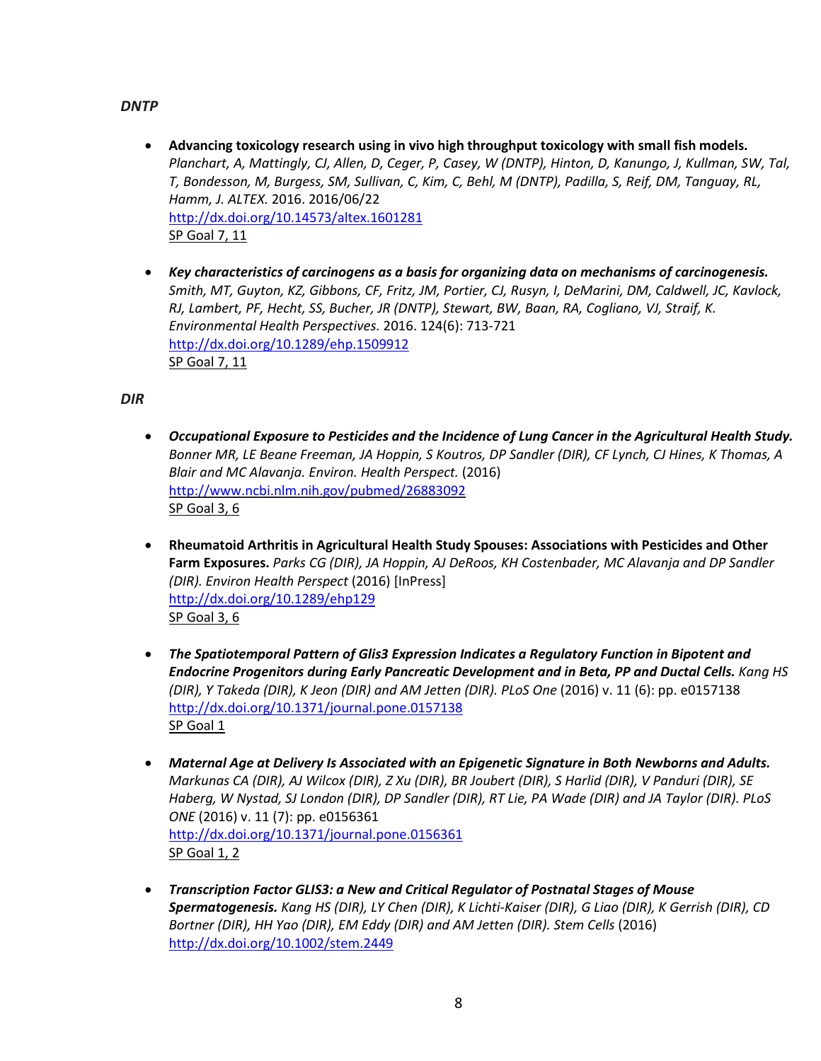#### *DNTP*

- **Advancing toxicology research using in vivo high throughput toxicology with small fish models.**  *Planchart, A, Mattingly, CJ, Allen, D, Ceger, P, Casey, W (DNTP), Hinton, D, Kanungo, J, Kullman, SW, Tal, T, Bondesson, M, Burgess, SM, Sullivan, C, Kim, C, Behl, M (DNTP), Padilla, S, Reif, DM, Tanguay, RL, Hamm, J. ALTEX.* 2016. 2016/06/22 <http://dx.doi.org/10.14573/altex.1601281> SP Goal 7, 11
- *Key characteristics of carcinogens as a basis for organizing data on mechanisms of carcinogenesis. Smith, MT, Guyton, KZ, Gibbons, CF, Fritz, JM, Portier, CJ, Rusyn, I, DeMarini, DM, Caldwell, JC, Kavlock, RJ, Lambert, PF, Hecht, SS, Bucher, JR (DNTP), Stewart, BW, Baan, RA, Cogliano, VJ, Straif, K. Environmental Health Perspectives.* 2016. 124(6): 713-721 <http://dx.doi.org/10.1289/ehp.1509912> SP Goal 7, 11

*DIR*

- *Occupational Exposure to Pesticides and the Incidence of Lung Cancer in the Agricultural Health Study. Bonner MR, LE Beane Freeman, JA Hoppin, S Koutros, DP Sandler (DIR), CF Lynch, CJ Hines, K Thomas, A Blair and MC Alavanja. Environ. Health Perspect.* (2016) <http://www.ncbi.nlm.nih.gov/pubmed/26883092> SP Goal 3, 6
- **Rheumatoid Arthritis in Agricultural Health Study Spouses: Associations with Pesticides and Other Farm Exposures.** *Parks CG (DIR), JA Hoppin, AJ DeRoos, KH Costenbader, MC Alavanja and DP Sandler (DIR). Environ Health Perspect* (2016) [InPress] <http://dx.doi.org/10.1289/ehp129> SP Goal 3, 6
- *The Spatiotemporal Pattern of Glis3 Expression Indicates a Regulatory Function in Bipotent and Endocrine Progenitors during Early Pancreatic Development and in Beta, PP and Ductal Cells. Kang HS (DIR), Y Takeda (DIR), K Jeon (DIR) and AM Jetten (DIR). PLoS One* (2016) v. 11 (6): pp. e0157138 <http://dx.doi.org/10.1371/journal.pone.0157138> SP Goal 1
- *Maternal Age at Delivery Is Associated with an Epigenetic Signature in Both Newborns and Adults. Markunas CA (DIR), AJ Wilcox (DIR), Z Xu (DIR), BR Joubert (DIR), S Harlid (DIR), V Panduri (DIR), SE Haberg, W Nystad, SJ London (DIR), DP Sandler (DIR), RT Lie, PA Wade (DIR) and JA Taylor (DIR). PLoS ONE* (2016) v. 11 (7): pp. e0156361 <http://dx.doi.org/10.1371/journal.pone.0156361> SP Goal 1, 2
- *Transcription Factor GLIS3: a New and Critical Regulator of Postnatal Stages of Mouse Spermatogenesis. Kang HS (DIR), LY Chen (DIR), K Lichti-Kaiser (DIR), G Liao (DIR), K Gerrish (DIR), CD*  Bortner (DIR), HH Yao (DIR), EM Eddy (DIR) and AM Jetten (DIR). Stem Cells (2016) <http://dx.doi.org/10.1002/stem.2449>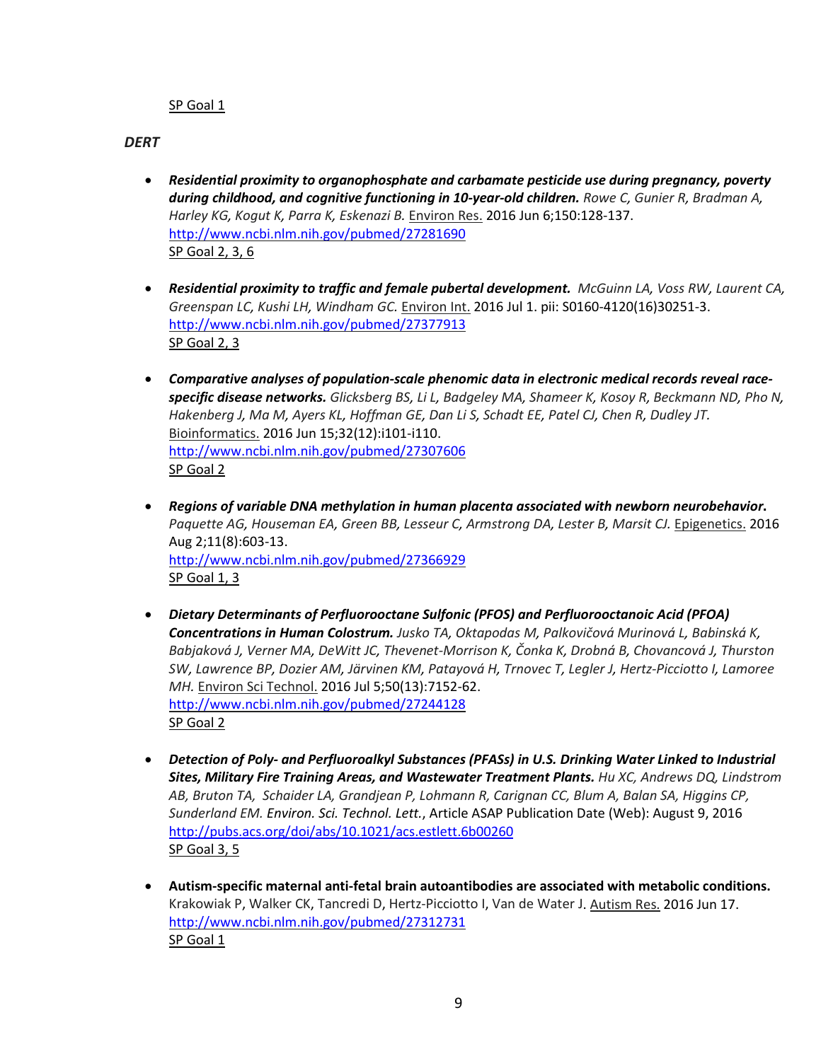#### SP Goal 1

*DERT*

- *Residential proximity to organophosphate and carbamate pesticide use during pregnancy, poverty during childhood, and cognitive functioning in 10-year-old children. [Rowe C,](http://www.ncbi.nlm.nih.gov/pubmed/?term=Rowe%20C%5BAuthor%5D&cauthor=true&cauthor_uid=27281690) [Gunier R,](http://www.ncbi.nlm.nih.gov/pubmed/?term=Gunier%20R%5BAuthor%5D&cauthor=true&cauthor_uid=27281690) [Bradman A,](http://www.ncbi.nlm.nih.gov/pubmed/?term=Bradman%20A%5BAuthor%5D&cauthor=true&cauthor_uid=27281690) [Harley KG,](http://www.ncbi.nlm.nih.gov/pubmed/?term=Harley%20KG%5BAuthor%5D&cauthor=true&cauthor_uid=27281690) [Kogut K,](http://www.ncbi.nlm.nih.gov/pubmed/?term=Kogut%20K%5BAuthor%5D&cauthor=true&cauthor_uid=27281690) [Parra K,](http://www.ncbi.nlm.nih.gov/pubmed/?term=Parra%20K%5BAuthor%5D&cauthor=true&cauthor_uid=27281690) Eskenazi B.* Environ Res. 2016 Jun 6;150:128-137. <http://www.ncbi.nlm.nih.gov/pubmed/27281690> SP Goal 2, 3, 6
- *Residential proximity to traffic and female pubertal development. [McGuinn LA,](http://www.ncbi.nlm.nih.gov/pubmed/?term=McGuinn%20LA%5BAuthor%5D&cauthor=true&cauthor_uid=27377913) [Voss RW,](http://www.ncbi.nlm.nih.gov/pubmed/?term=Voss%20RW%5BAuthor%5D&cauthor=true&cauthor_uid=27377913) [Laurent CA,](http://www.ncbi.nlm.nih.gov/pubmed/?term=Laurent%20CA%5BAuthor%5D&cauthor=true&cauthor_uid=27377913) [Greenspan LC,](http://www.ncbi.nlm.nih.gov/pubmed/?term=Greenspan%20LC%5BAuthor%5D&cauthor=true&cauthor_uid=27377913) [Kushi LH,](http://www.ncbi.nlm.nih.gov/pubmed/?term=Kushi%20LH%5BAuthor%5D&cauthor=true&cauthor_uid=27377913) [Windham GC.](http://www.ncbi.nlm.nih.gov/pubmed/?term=Windham%20GC%5BAuthor%5D&cauthor=true&cauthor_uid=27377913)* Environ Int. 2016 Jul 1. pii: S0160-4120(16)30251-3. <http://www.ncbi.nlm.nih.gov/pubmed/27377913> SP Goal 2, 3
- *Comparative analyses of population-scale phenomic data in electronic medical records reveal racespecific disease networks. [Glicksberg BS,](http://www.ncbi.nlm.nih.gov/pubmed/?term=Glicksberg%20BS%5BAuthor%5D&cauthor=true&cauthor_uid=27307606) [Li L,](http://www.ncbi.nlm.nih.gov/pubmed/?term=Li%20L%5BAuthor%5D&cauthor=true&cauthor_uid=27307606) [Badgeley MA,](http://www.ncbi.nlm.nih.gov/pubmed/?term=Badgeley%20MA%5BAuthor%5D&cauthor=true&cauthor_uid=27307606) [Shameer K,](http://www.ncbi.nlm.nih.gov/pubmed/?term=Shameer%20K%5BAuthor%5D&cauthor=true&cauthor_uid=27307606) [Kosoy R,](http://www.ncbi.nlm.nih.gov/pubmed/?term=Kosoy%20R%5BAuthor%5D&cauthor=true&cauthor_uid=27307606) [Beckmann ND,](http://www.ncbi.nlm.nih.gov/pubmed/?term=Beckmann%20ND%5BAuthor%5D&cauthor=true&cauthor_uid=27307606) [Pho N,](http://www.ncbi.nlm.nih.gov/pubmed/?term=Pho%20N%5BAuthor%5D&cauthor=true&cauthor_uid=27307606) [Hakenberg J,](http://www.ncbi.nlm.nih.gov/pubmed/?term=Hakenberg%20J%5BAuthor%5D&cauthor=true&cauthor_uid=27307606) [Ma M,](http://www.ncbi.nlm.nih.gov/pubmed/?term=Ma%20M%5BAuthor%5D&cauthor=true&cauthor_uid=27307606) [Ayers KL,](http://www.ncbi.nlm.nih.gov/pubmed/?term=Ayers%20KL%5BAuthor%5D&cauthor=true&cauthor_uid=27307606) [Hoffman GE,](http://www.ncbi.nlm.nih.gov/pubmed/?term=Hoffman%20GE%5BAuthor%5D&cauthor=true&cauthor_uid=27307606) [Dan Li S,](http://www.ncbi.nlm.nih.gov/pubmed/?term=Dan%20Li%20S%5BAuthor%5D&cauthor=true&cauthor_uid=27307606) [Schadt EE,](http://www.ncbi.nlm.nih.gov/pubmed/?term=Schadt%20EE%5BAuthor%5D&cauthor=true&cauthor_uid=27307606) [Patel CJ,](http://www.ncbi.nlm.nih.gov/pubmed/?term=Patel%20CJ%5BAuthor%5D&cauthor=true&cauthor_uid=27307606) [Chen R,](http://www.ncbi.nlm.nih.gov/pubmed/?term=Chen%20R%5BAuthor%5D&cauthor=true&cauthor_uid=27307606) [Dudley JT.](http://www.ncbi.nlm.nih.gov/pubmed/?term=Dudley%20JT%5BAuthor%5D&cauthor=true&cauthor_uid=27307606)* Bioinformatics. 2016 Jun 15;32(12):i101-i110. <http://www.ncbi.nlm.nih.gov/pubmed/27307606> SP Goal 2
- *Regions of variable DNA methylation in human placenta associated with newborn neurobehavior***.** *[Paquette AG,](http://www.ncbi.nlm.nih.gov/pubmed/?term=Paquette%20AG%5BAuthor%5D&cauthor=true&cauthor_uid=27366929) [Houseman EA,](http://www.ncbi.nlm.nih.gov/pubmed/?term=Houseman%20EA%5BAuthor%5D&cauthor=true&cauthor_uid=27366929) [Green BB,](http://www.ncbi.nlm.nih.gov/pubmed/?term=Green%20BB%5BAuthor%5D&cauthor=true&cauthor_uid=27366929) [Lesseur C,](http://www.ncbi.nlm.nih.gov/pubmed/?term=Lesseur%20C%5BAuthor%5D&cauthor=true&cauthor_uid=27366929) [Armstrong DA,](http://www.ncbi.nlm.nih.gov/pubmed/?term=Armstrong%20DA%5BAuthor%5D&cauthor=true&cauthor_uid=27366929) [Lester B,](http://www.ncbi.nlm.nih.gov/pubmed/?term=Lester%20B%5BAuthor%5D&cauthor=true&cauthor_uid=27366929) [Marsit CJ.](http://www.ncbi.nlm.nih.gov/pubmed/?term=Marsit%20CJ%5BAuthor%5D&cauthor=true&cauthor_uid=27366929)* Epigenetics. 2016 Aug 2;11(8):603-13. <http://www.ncbi.nlm.nih.gov/pubmed/27366929> SP Goal 1, 3
- *Dietary Determinants of Perfluorooctane Sulfonic (PFOS) and Perfluorooctanoic Acid (PFOA) Concentrations in Human Colostrum. [Jusko TA,](http://www.ncbi.nlm.nih.gov/pubmed/?term=Jusko%20TA%5BAuthor%5D&cauthor=true&cauthor_uid=27244128) [Oktapodas M,](http://www.ncbi.nlm.nih.gov/pubmed/?term=Oktapodas%20M%5BAuthor%5D&cauthor=true&cauthor_uid=27244128) [Palkovičová Murinová L](http://www.ncbi.nlm.nih.gov/pubmed/?term=Palkovi%C4%8Dov%C3%A1%20Murinov%C3%A1%20L%5BAuthor%5D&cauthor=true&cauthor_uid=27244128), [Babinská K](http://www.ncbi.nlm.nih.gov/pubmed/?term=Babinsk%C3%A1%20K%5BAuthor%5D&cauthor=true&cauthor_uid=27244128), [Babjaková J](http://www.ncbi.nlm.nih.gov/pubmed/?term=Babjakov%C3%A1%20J%5BAuthor%5D&cauthor=true&cauthor_uid=27244128), [Verner MA,](http://www.ncbi.nlm.nih.gov/pubmed/?term=Verner%20MA%5BAuthor%5D&cauthor=true&cauthor_uid=27244128) [DeWitt JC,](http://www.ncbi.nlm.nih.gov/pubmed/?term=DeWitt%20JC%5BAuthor%5D&cauthor=true&cauthor_uid=27244128) [Thevenet-Morrison K,](http://www.ncbi.nlm.nih.gov/pubmed/?term=Thevenet-Morrison%20K%5BAuthor%5D&cauthor=true&cauthor_uid=27244128) [Čonka K](http://www.ncbi.nlm.nih.gov/pubmed/?term=%C4%8Conka%20K%5BAuthor%5D&cauthor=true&cauthor_uid=27244128), [Drobná B](http://www.ncbi.nlm.nih.gov/pubmed/?term=Drobn%C3%A1%20B%5BAuthor%5D&cauthor=true&cauthor_uid=27244128), [Chovancová J](http://www.ncbi.nlm.nih.gov/pubmed/?term=Chovancov%C3%A1%20J%5BAuthor%5D&cauthor=true&cauthor_uid=27244128), [Thurston](http://www.ncbi.nlm.nih.gov/pubmed/?term=Thurston%20SW%5BAuthor%5D&cauthor=true&cauthor_uid=27244128)  [SW,](http://www.ncbi.nlm.nih.gov/pubmed/?term=Thurston%20SW%5BAuthor%5D&cauthor=true&cauthor_uid=27244128) [Lawrence BP,](http://www.ncbi.nlm.nih.gov/pubmed/?term=Lawrence%20BP%5BAuthor%5D&cauthor=true&cauthor_uid=27244128) [Dozier AM,](http://www.ncbi.nlm.nih.gov/pubmed/?term=Dozier%20AM%5BAuthor%5D&cauthor=true&cauthor_uid=27244128) [Järvinen KM,](http://www.ncbi.nlm.nih.gov/pubmed/?term=J%C3%A4rvinen%20KM%5BAuthor%5D&cauthor=true&cauthor_uid=27244128) [Patayová H](http://www.ncbi.nlm.nih.gov/pubmed/?term=Patayov%C3%A1%20H%5BAuthor%5D&cauthor=true&cauthor_uid=27244128), [Trnovec T,](http://www.ncbi.nlm.nih.gov/pubmed/?term=Trnovec%20T%5BAuthor%5D&cauthor=true&cauthor_uid=27244128) [Legler J,](http://www.ncbi.nlm.nih.gov/pubmed/?term=Legler%20J%5BAuthor%5D&cauthor=true&cauthor_uid=27244128) [Hertz-Picciotto I,](http://www.ncbi.nlm.nih.gov/pubmed/?term=Hertz-Picciotto%20I%5BAuthor%5D&cauthor=true&cauthor_uid=27244128) [Lamoree](http://www.ncbi.nlm.nih.gov/pubmed/?term=Lamoree%20MH%5BAuthor%5D&cauthor=true&cauthor_uid=27244128)  [MH.](http://www.ncbi.nlm.nih.gov/pubmed/?term=Lamoree%20MH%5BAuthor%5D&cauthor=true&cauthor_uid=27244128)* Environ Sci Technol. 2016 Jul 5;50(13):7152-62. <http://www.ncbi.nlm.nih.gov/pubmed/27244128> SP Goal 2
- *Detection of Poly- and Perfluoroalkyl Substances (PFASs) in U.S. Drinking Water Linked to Industrial Sites, Military Fire Training Areas, and Wastewater Treatment Plants. [Hu](http://pubs.acs.org/author/Hu%2C+Xindi+C) XC, [Andrews](http://pubs.acs.org/author/Andrews%2C+David+Q) DQ[, Lindstrom](http://pubs.acs.org/author/Lindstrom%2C+Andrew+B) AB[, Bruton](http://pubs.acs.org/author/Bruton%2C+Thomas+A) TA[, Schaider](http://pubs.acs.org/author/Schaider%2C+Laurel+A) LA[, Grandjean](http://pubs.acs.org/author/Grandjean%2C+Philippe) P, [Lohmann](http://pubs.acs.org/author/Lohmann%2C+Rainer) R, [Carignan](http://pubs.acs.org/author/Carignan%2C+Courtney+C) CC, [Blum](http://pubs.acs.org/author/Blum%2C+Arlene) A[, Balan](http://pubs.acs.org/author/Balan%2C+Simona+A) SA, [Higgins](http://pubs.acs.org/author/Higgins%2C+Christopher+P) CP, [Sunderland](http://pubs.acs.org/author/Sunderland%2C+Elsie+M) EM. Environ. Sci. Technol. Lett.*, Article ASAP Publication Date (Web): August 9, 2016 <http://pubs.acs.org/doi/abs/10.1021/acs.estlett.6b00260> SP Goal 3, 5
- **Autism-specific maternal anti-fetal brain autoantibodies are associated with metabolic conditions.** [Krakowiak P,](http://www.ncbi.nlm.nih.gov/pubmed/?term=Krakowiak%20P%5BAuthor%5D&cauthor=true&cauthor_uid=27312731) [Walker CK,](http://www.ncbi.nlm.nih.gov/pubmed/?term=Walker%20CK%5BAuthor%5D&cauthor=true&cauthor_uid=27312731) [Tancredi D,](http://www.ncbi.nlm.nih.gov/pubmed/?term=Tancredi%20D%5BAuthor%5D&cauthor=true&cauthor_uid=27312731) [Hertz-Picciotto I,](http://www.ncbi.nlm.nih.gov/pubmed/?term=Hertz-Picciotto%20I%5BAuthor%5D&cauthor=true&cauthor_uid=27312731) [Van de Water J.](http://www.ncbi.nlm.nih.gov/pubmed/?term=Van%20de%20Water%20J%5BAuthor%5D&cauthor=true&cauthor_uid=27312731) Autism Res. 2016 Jun 17. <http://www.ncbi.nlm.nih.gov/pubmed/27312731> SP Goal 1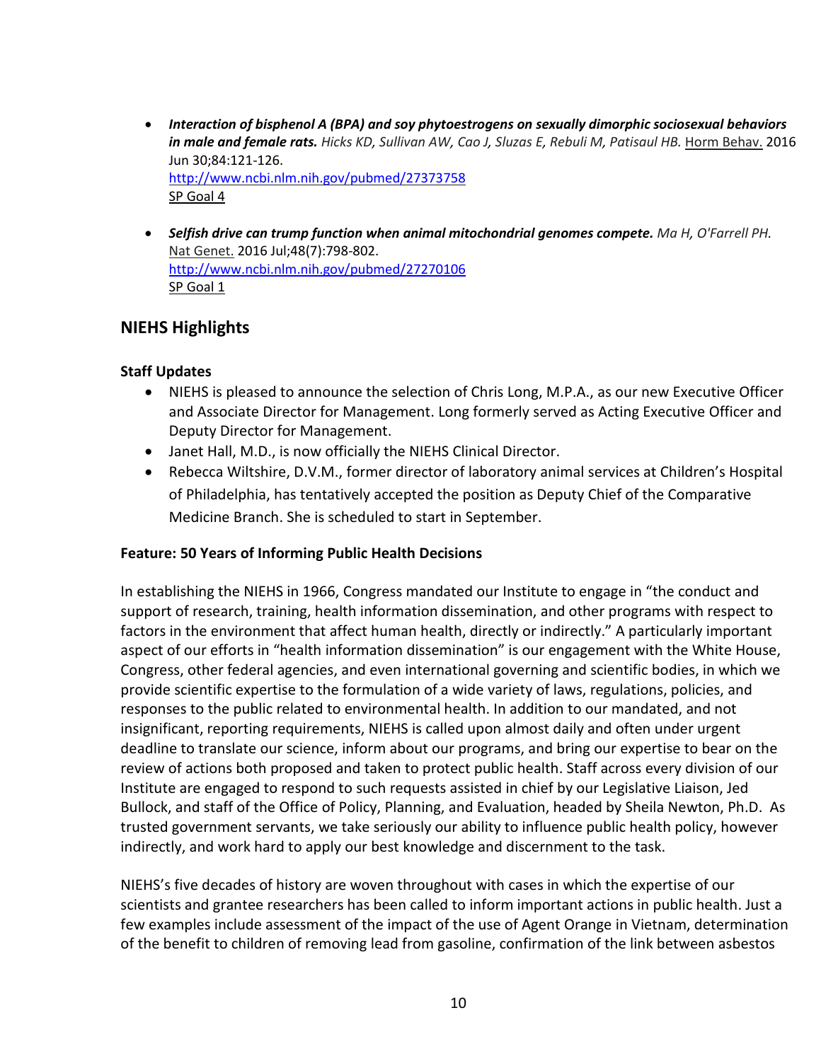- *Interaction of bisphenol A (BPA) and soy phytoestrogens on sexually dimorphic sociosexual behaviors in male and female rats. [Hicks KD,](http://www.ncbi.nlm.nih.gov/pubmed/?term=Hicks%20KD%5BAuthor%5D&cauthor=true&cauthor_uid=27373758) [Sullivan AW,](http://www.ncbi.nlm.nih.gov/pubmed/?term=Sullivan%20AW%5BAuthor%5D&cauthor=true&cauthor_uid=27373758) [Cao J,](http://www.ncbi.nlm.nih.gov/pubmed/?term=Cao%20J%5BAuthor%5D&cauthor=true&cauthor_uid=27373758) [Sluzas E,](http://www.ncbi.nlm.nih.gov/pubmed/?term=Sluzas%20E%5BAuthor%5D&cauthor=true&cauthor_uid=27373758) [Rebuli M,](http://www.ncbi.nlm.nih.gov/pubmed/?term=Rebuli%20M%5BAuthor%5D&cauthor=true&cauthor_uid=27373758) [Patisaul HB.](http://www.ncbi.nlm.nih.gov/pubmed/?term=Patisaul%20HB%5BAuthor%5D&cauthor=true&cauthor_uid=27373758)* Horm Behav. 2016 Jun 30;84:121-126. <http://www.ncbi.nlm.nih.gov/pubmed/27373758> SP Goal 4
- *Selfish drive can trump function when animal mitochondrial genomes compete. [Ma H,](http://www.ncbi.nlm.nih.gov/pubmed/?term=Ma%20H%5BAuthor%5D&cauthor=true&cauthor_uid=27270106) [O'Farrell PH.](http://www.ncbi.nlm.nih.gov/pubmed/?term=O)*  Nat Genet. 2016 Jul;48(7):798-802. <http://www.ncbi.nlm.nih.gov/pubmed/27270106> SP Goal 1

# **NIEHS Highlights**

#### **Staff Updates**

- NIEHS is pleased to announce the selection of Chris Long, M.P.A., as our new Executive Officer and Associate Director for Management. Long formerly served as Acting Executive Officer and Deputy Director for Management.
- Janet Hall, M.D., is now officially the NIEHS Clinical Director.
- Rebecca Wiltshire, D.V.M., former director of laboratory animal services at Children's Hospital of Philadelphia, has tentatively accepted the position as Deputy Chief of the Comparative Medicine Branch. She is scheduled to start in September.

#### **Feature: 50 Years of Informing Public Health Decisions**

In establishing the NIEHS in 1966, Congress mandated our Institute to engage in "the conduct and support of research, training, health information dissemination, and other programs with respect to factors in the environment that affect human health, directly or indirectly." A particularly important aspect of our efforts in "health information dissemination" is our engagement with the White House, Congress, other federal agencies, and even international governing and scientific bodies, in which we provide scientific expertise to the formulation of a wide variety of laws, regulations, policies, and responses to the public related to environmental health. In addition to our mandated, and not insignificant, reporting requirements, NIEHS is called upon almost daily and often under urgent deadline to translate our science, inform about our programs, and bring our expertise to bear on the review of actions both proposed and taken to protect public health. Staff across every division of our Institute are engaged to respond to such requests assisted in chief by our Legislative Liaison, Jed Bullock, and staff of the Office of Policy, Planning, and Evaluation, headed by Sheila Newton, Ph.D. As trusted government servants, we take seriously our ability to influence public health policy, however indirectly, and work hard to apply our best knowledge and discernment to the task.

NIEHS's five decades of history are woven throughout with cases in which the expertise of our scientists and grantee researchers has been called to inform important actions in public health. Just a few examples include assessment of the impact of the use of Agent Orange in Vietnam, determination of the benefit to children of removing lead from gasoline, confirmation of the link between asbestos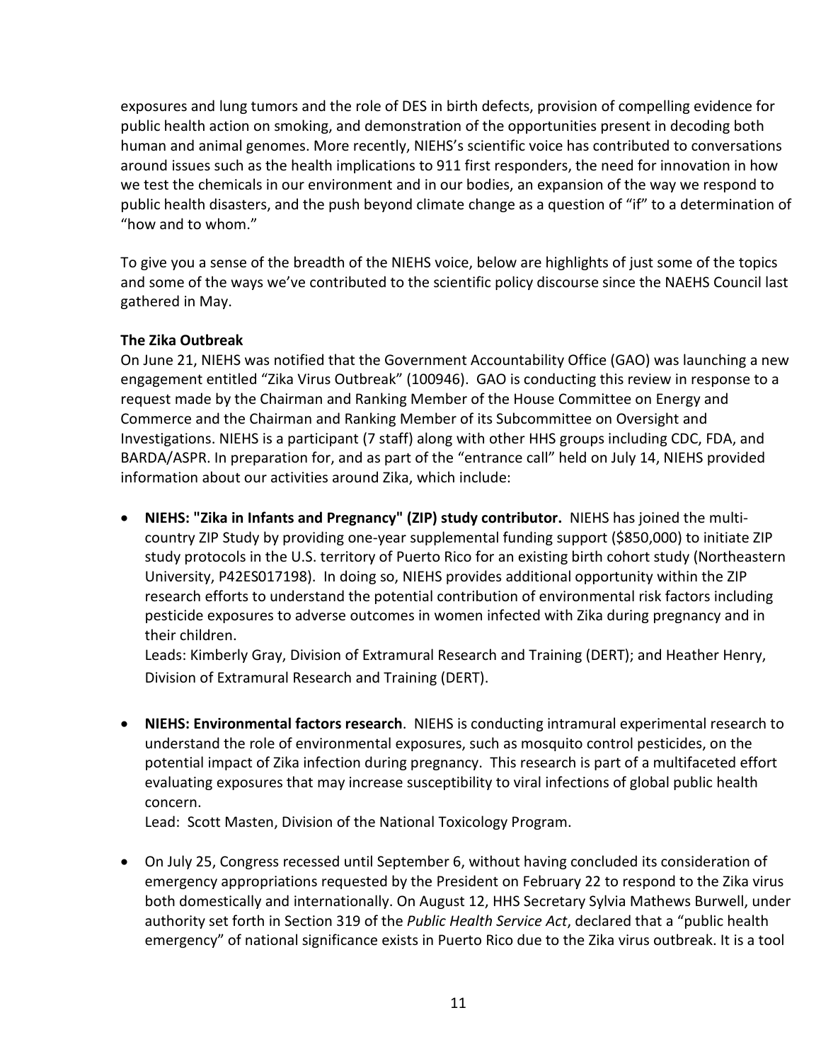exposures and lung tumors and the role of DES in birth defects, provision of compelling evidence for public health action on smoking, and demonstration of the opportunities present in decoding both human and animal genomes. More recently, NIEHS's scientific voice has contributed to conversations around issues such as the health implications to 911 first responders, the need for innovation in how we test the chemicals in our environment and in our bodies, an expansion of the way we respond to public health disasters, and the push beyond climate change as a question of "if" to a determination of "how and to whom."

To give you a sense of the breadth of the NIEHS voice, below are highlights of just some of the topics and some of the ways we've contributed to the scientific policy discourse since the NAEHS Council last gathered in May.

#### **The Zika Outbreak**

On June 21, NIEHS was notified that the Government Accountability Office (GAO) was launching a new engagement entitled "Zika Virus Outbreak" (100946). GAO is conducting this review in response to a request made by the Chairman and Ranking Member of the House Committee on Energy and Commerce and the Chairman and Ranking Member of its Subcommittee on Oversight and Investigations. NIEHS is a participant (7 staff) along with other HHS groups including CDC, FDA, and BARDA/ASPR. In preparation for, and as part of the "entrance call" held on July 14, NIEHS provided information about our activities around Zika, which include:

• **NIEHS: "Zika in Infants and Pregnancy" (ZIP) study contributor.** NIEHS has joined the multicountry ZIP Study by providing one-year supplemental funding support (\$850,000) to initiate ZIP study protocols in the U.S. territory of Puerto Rico for an existing birth cohort study (Northeastern University, P42ES017198). In doing so, NIEHS provides additional opportunity within the ZIP research efforts to understand the potential contribution of environmental risk factors including pesticide exposures to adverse outcomes in women infected with Zika during pregnancy and in their children.

Leads: Kimberly Gray, Division of Extramural Research and Training (DERT); and Heather Henry, Division of Extramural Research and Training (DERT).

• **NIEHS: Environmental factors research**. NIEHS is conducting intramural experimental research to understand the role of environmental exposures, such as mosquito control pesticides, on the potential impact of Zika infection during pregnancy. This research is part of a multifaceted effort evaluating exposures that may increase susceptibility to viral infections of global public health concern.

Lead: Scott Masten, Division of the National Toxicology Program.

• On July 25, Congress recessed until September 6, without having concluded its consideration of emergency appropriations requested by the President on February 22 to respond to the Zika virus both domestically and internationally. On August 12, HHS Secretary Sylvia Mathews Burwell, under authority set forth in Section 319 of the *Public Health Service Act*, declared that a "public health emergency" of national significance exists in Puerto Rico due to the Zika virus outbreak. It is a tool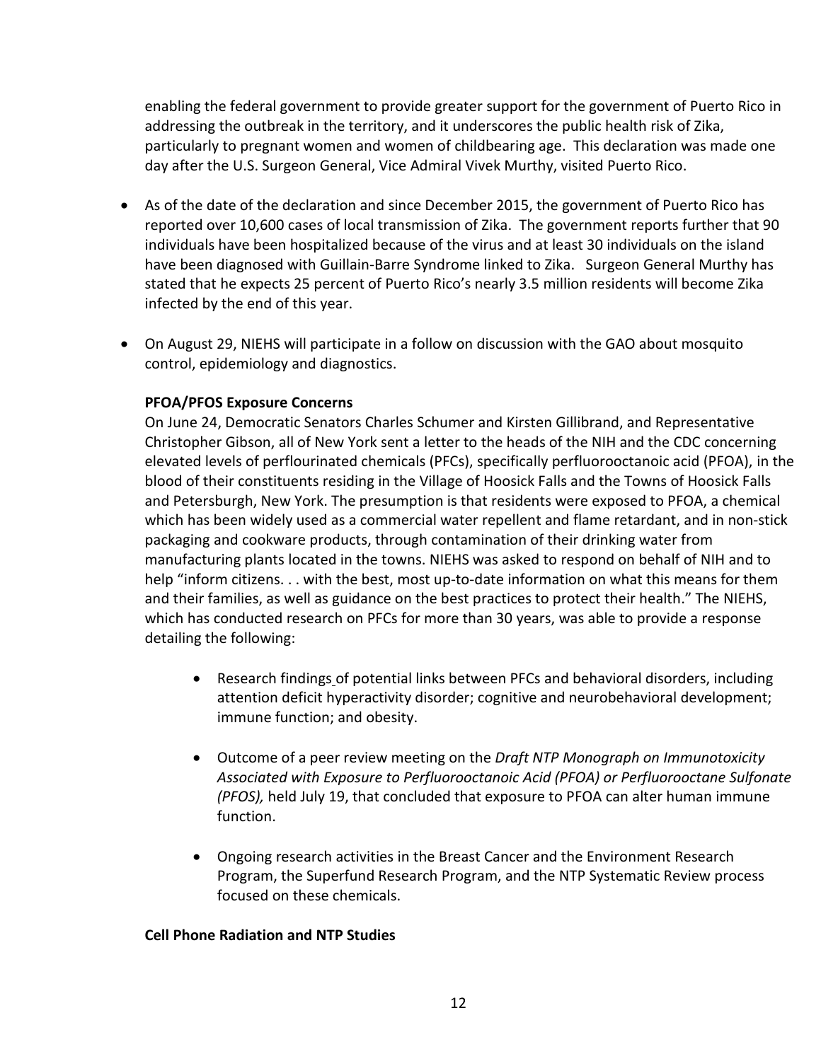enabling the federal government to provide greater support for the government of Puerto Rico in addressing the outbreak in the territory, and it underscores the public health risk of Zika, particularly to pregnant women and women of childbearing age. This declaration was made one day after the U.S. Surgeon General, Vice Admiral Vivek Murthy, visited Puerto Rico.

- As of the date of the declaration and since December 2015, the government of Puerto Rico has reported over 10,600 cases of local transmission of Zika. The government reports further that 90 individuals have been hospitalized because of the virus and at least 30 individuals on the island have been diagnosed with Guillain-Barre Syndrome linked to Zika. Surgeon General Murthy has stated that he expects 25 percent of Puerto Rico's nearly 3.5 million residents will become Zika infected by the end of this year.
- On August 29, NIEHS will participate in a follow on discussion with the GAO about mosquito control, epidemiology and diagnostics.

#### **PFOA/PFOS Exposure Concerns**

On June 24, Democratic Senators Charles Schumer and Kirsten Gillibrand, and Representative Christopher Gibson, all of New York sent a letter to the heads of the NIH and the CDC concerning elevated levels of perflourinated chemicals (PFCs), specifically perfluorooctanoic acid (PFOA), in the blood of their constituents residing in the Village of Hoosick Falls and the Towns of Hoosick Falls and Petersburgh, New York. The presumption is that residents were exposed to PFOA, a chemical which has been widely used as a commercial water repellent and flame retardant, and in non-stick packaging and cookware products, through contamination of their drinking water from manufacturing plants located in the towns. NIEHS was asked to respond on behalf of NIH and to help "inform citizens. . . with the best, most up-to-date information on what this means for them and their families, as well as guidance on the best practices to protect their health." The NIEHS, which has conducted research on PFCs for more than 30 years, was able to provide a response detailing the following:

- Research findings of potential links between PFCs and behavioral disorders, including attention deficit hyperactivity disorder; cognitive and neurobehavioral development; immune function; and obesity.
- Outcome of a peer review meeting on the *Draft NTP Monograph on Immunotoxicity Associated with Exposure to Perfluorooctanoic Acid (PFOA) or Perfluorooctane Sulfonate (PFOS),* held July 19, that concluded that exposure to PFOA can alter human immune function.
- Ongoing research activities in the Breast Cancer and the Environment Research Program, the Superfund Research Program, and the NTP Systematic Review process focused on these chemicals.

#### **Cell Phone Radiation and NTP Studies**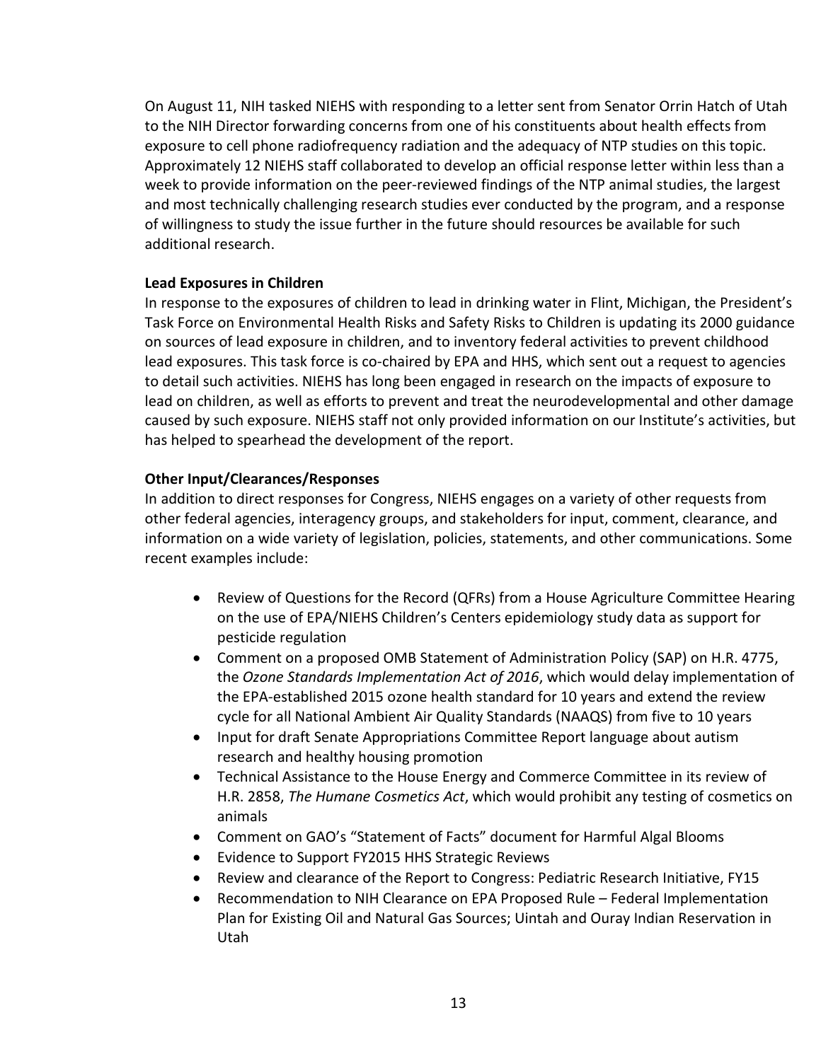On August 11, NIH tasked NIEHS with responding to a letter sent from Senator Orrin Hatch of Utah to the NIH Director forwarding concerns from one of his constituents about health effects from exposure to cell phone radiofrequency radiation and the adequacy of NTP studies on this topic. Approximately 12 NIEHS staff collaborated to develop an official response letter within less than a week to provide information on the peer-reviewed findings of the NTP animal studies, the largest and most technically challenging research studies ever conducted by the program, and a response of willingness to study the issue further in the future should resources be available for such additional research.

#### **Lead Exposures in Children**

In response to the exposures of children to lead in drinking water in Flint, Michigan, the President's Task Force on Environmental Health Risks and Safety Risks to Children is updating its 2000 guidance on sources of lead exposure in children, and to inventory federal activities to prevent childhood lead exposures. This task force is co-chaired by EPA and HHS, which sent out a request to agencies to detail such activities. NIEHS has long been engaged in research on the impacts of exposure to lead on children, as well as efforts to prevent and treat the neurodevelopmental and other damage caused by such exposure. NIEHS staff not only provided information on our Institute's activities, but has helped to spearhead the development of the report.

#### **Other Input/Clearances/Responses**

In addition to direct responses for Congress, NIEHS engages on a variety of other requests from other federal agencies, interagency groups, and stakeholders for input, comment, clearance, and information on a wide variety of legislation, policies, statements, and other communications. Some recent examples include:

- Review of Questions for the Record (QFRs) from a House Agriculture Committee Hearing on the use of EPA/NIEHS Children's Centers epidemiology study data as support for pesticide regulation
- Comment on a proposed OMB Statement of Administration Policy (SAP) on H.R. 4775, the *Ozone Standards Implementation Act of 2016*, which would delay implementation of the EPA-established 2015 ozone health standard for 10 years and extend the review cycle for all National Ambient Air Quality Standards (NAAQS) from five to 10 years
- Input for draft Senate Appropriations Committee Report language about autism research and healthy housing promotion
- Technical Assistance to the House Energy and Commerce Committee in its review of H.R. 2858, *The Humane Cosmetics Act*, which would prohibit any testing of cosmetics on animals
- Comment on GAO's "Statement of Facts" document for Harmful Algal Blooms
- Evidence to Support FY2015 HHS Strategic Reviews
- Review and clearance of the Report to Congress: Pediatric Research Initiative, FY15
- Recommendation to NIH Clearance on EPA Proposed Rule Federal Implementation Plan for Existing Oil and Natural Gas Sources; Uintah and Ouray Indian Reservation in Utah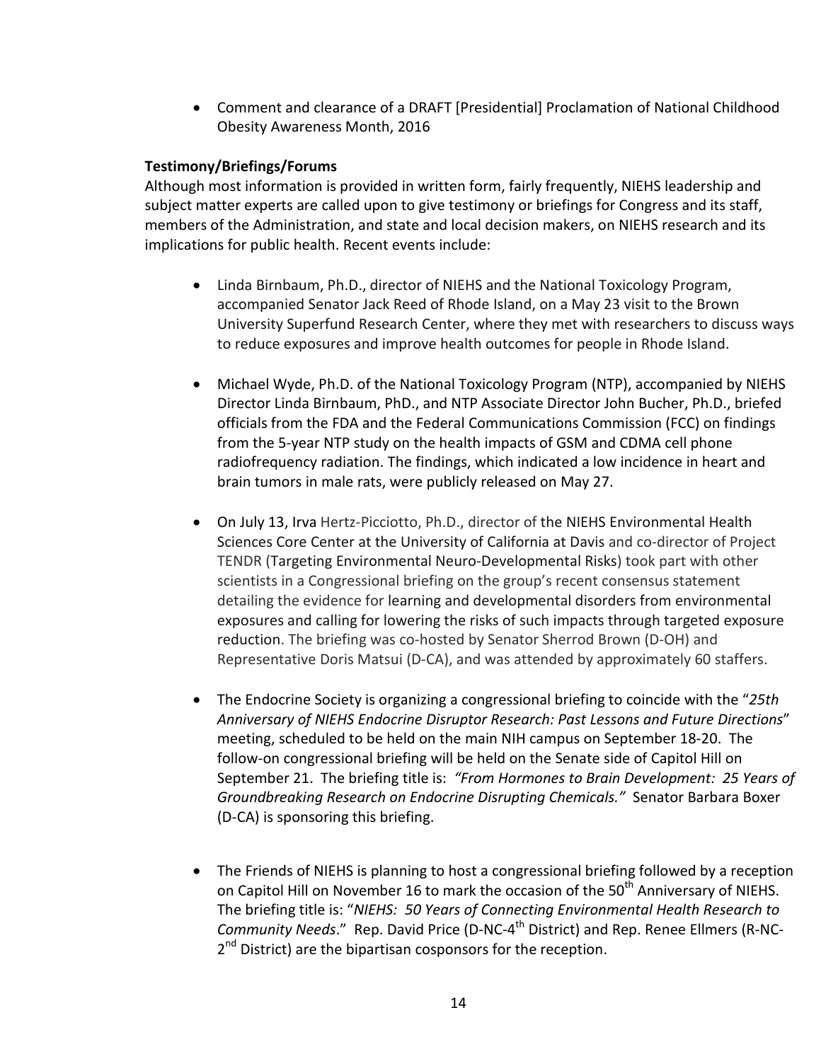• Comment and clearance of a DRAFT [Presidential] Proclamation of National Childhood Obesity Awareness Month, 2016

#### **Testimony/Briefings/Forums**

Although most information is provided in written form, fairly frequently, NIEHS leadership and subject matter experts are called upon to give testimony or briefings for Congress and its staff, members of the Administration, and state and local decision makers, on NIEHS research and its implications for public health. Recent events include:

- Linda Birnbaum, Ph.D., director of NIEHS and the National Toxicology Program, accompanied Senator Jack Reed of Rhode Island, on a May 23 visit to the Brown University Superfund Research Center, where they met with researchers to discuss ways to reduce exposures and improve health outcomes for people in Rhode Island.
- Michael Wyde, Ph.D. of the National Toxicology Program (NTP), accompanied by NIEHS Director Linda Birnbaum, PhD., and NTP Associate Director John Bucher, Ph.D., briefed officials from the FDA and the Federal Communications Commission (FCC) on findings from the 5-year NTP study on the health impacts of GSM and CDMA cell phone radiofrequency radiation. The findings, which indicated a low incidence in heart and brain tumors in male rats, were publicly released on May 27.
- On July 13, Irva Hertz-Picciotto, Ph.D., director of the NIEHS Environmental Health Sciences Core Center at the University of California at Davis and co-director of Project TENDR (Targeting Environmental Neuro-Developmental Risks) took part with other scientists in a Congressional briefing on the group's recent consensus statement detailing the evidence for learning and developmental disorders from environmental exposures and calling for lowering the risks of such impacts through targeted exposure reduction. The briefing was co-hosted by Senator Sherrod Brown (D-OH) and Representative Doris Matsui (D-CA), and was attended by approximately 60 staffers.
- The Endocrine Society is organizing a congressional briefing to coincide with the "*25th Anniversary of NIEHS Endocrine Disruptor Research: Past Lessons and Future Directions*" meeting, scheduled to be held on the main NIH campus on September 18-20. The follow-on congressional briefing will be held on the Senate side of Capitol Hill on September 21. The briefing title is: *"From Hormones to Brain Development: 25 Years of Groundbreaking Research on Endocrine Disrupting Chemicals."* Senator Barbara Boxer (D-CA) is sponsoring this briefing.
- The Friends of NIEHS is planning to host a congressional briefing followed by a reception on Capitol Hill on November 16 to mark the occasion of the 50<sup>th</sup> Anniversary of NIEHS. The briefing title is: "*NIEHS: 50 Years of Connecting Environmental Health Research to Community Needs*." Rep. David Price (D-NC-4th District) and Rep. Renee Ellmers (R-NC- $2<sup>nd</sup>$  District) are the bipartisan cosponsors for the reception.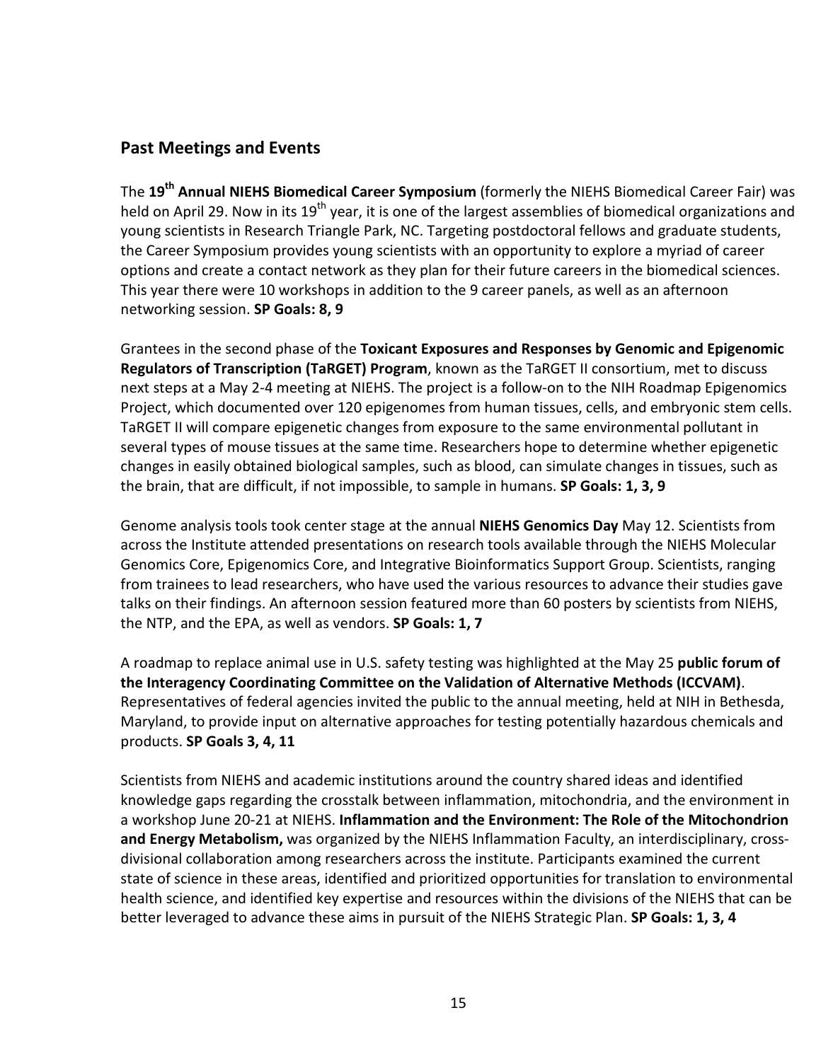# **Past Meetings and Events**

The **19th Annual NIEHS Biomedical Career Symposium** (formerly the NIEHS Biomedical Career Fair) was held on April 29. Now in its 19<sup>th</sup> year, it is one of the largest assemblies of biomedical organizations and young scientists in Research Triangle Park, NC. Targeting postdoctoral fellows and graduate students, the Career Symposium provides young scientists with an opportunity to explore a myriad of career options and create a contact network as they plan for their future careers in the biomedical sciences. This year there were 10 workshops in addition to the 9 career panels, as well as an afternoon networking session. **SP Goals: 8, 9**

Grantees in the second phase of the **Toxicant Exposures and Responses by Genomic and Epigenomic Regulators of Transcription (TaRGET) Program**, known as the TaRGET II consortium, met to discuss next steps at a May 2-4 meeting at NIEHS. The project is a follow-on to the NIH Roadmap Epigenomics Project, which documented over 120 epigenomes from human tissues, cells, and embryonic stem cells. TaRGET II will compare epigenetic changes from exposure to the same environmental pollutant in several types of mouse tissues at the same time. Researchers hope to determine whether epigenetic changes in easily obtained biological samples, such as blood, can simulate changes in tissues, such as the brain, that are difficult, if not impossible, to sample in humans. **SP Goals: 1, 3, 9**

Genome analysis tools took center stage at the annual **NIEHS Genomics Day** May 12. Scientists from across the Institute attended presentations on research tools available through the NIEHS Molecular Genomics Core, Epigenomics Core, and Integrative Bioinformatics Support Group. Scientists, ranging from trainees to lead researchers, who have used the various resources to advance their studies gave talks on their findings. An afternoon session featured more than 60 posters by scientists from NIEHS, the NTP, and the EPA, as well as vendors. **SP Goals: 1, 7**

A roadmap to replace animal use in U.S. safety testing was highlighted at the May 25 **public forum of the Interagency Coordinating Committee on the Validation of Alternative Methods (ICCVAM)**. Representatives of federal agencies invited the public to the annual meeting, held at NIH in Bethesda, Maryland, to provide input on alternative approaches for testing potentially hazardous chemicals and products. **SP Goals 3, 4, 11**

Scientists from NIEHS and academic institutions around the country shared ideas and identified knowledge gaps regarding the crosstalk between inflammation, mitochondria, and the environment in a workshop June 20-21 at NIEHS. **Inflammation and the Environment: The Role of the Mitochondrion and Energy Metabolism,** was organized by the NIEHS Inflammation Faculty, an interdisciplinary, crossdivisional collaboration among researchers across the institute. Participants examined the current state of science in these areas, identified and prioritized opportunities for translation to environmental health science, and identified key expertise and resources within the divisions of the NIEHS that can be better leveraged to advance these aims in pursuit of the NIEHS Strategic Plan. **SP Goals: 1, 3, 4**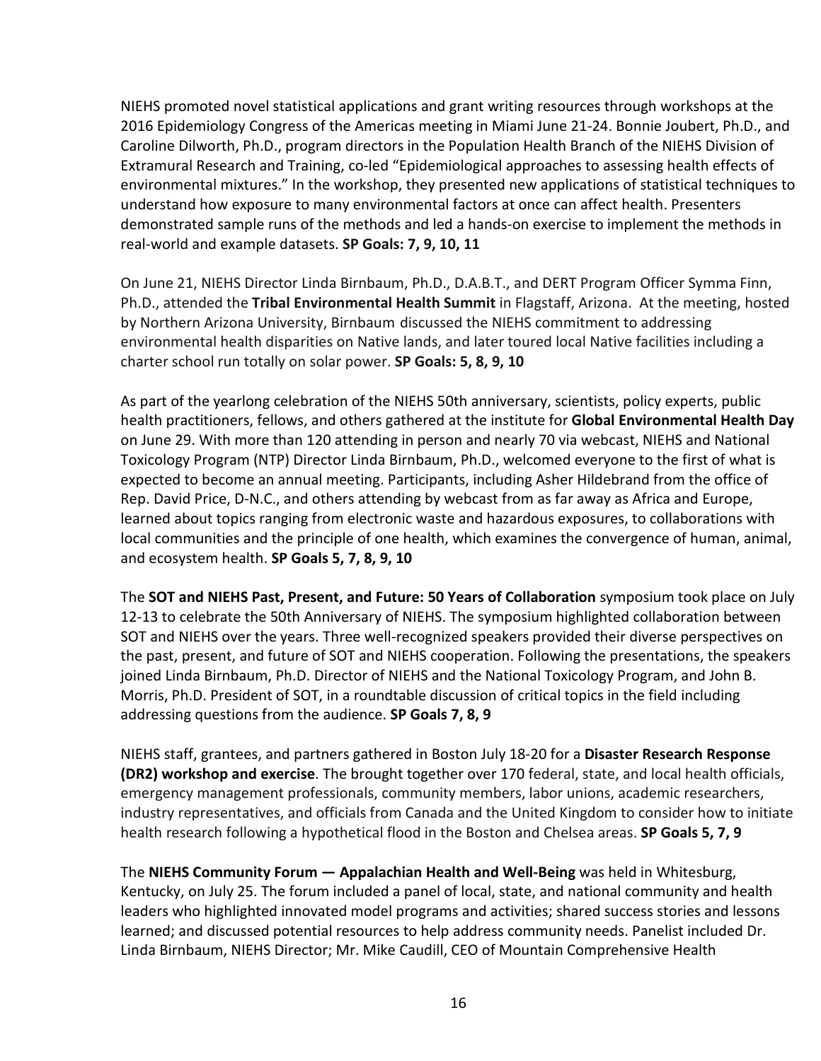NIEHS promoted novel statistical applications and grant writing resources through workshops at the 2016 Epidemiology Congress of the Americas meeting in Miami June 21-24. Bonnie Joubert, Ph.D., and Caroline Dilworth, Ph.D., program directors in the Population Health Branch of the NIEHS Division of Extramural Research and Training, co-led "Epidemiological approaches to assessing health effects of environmental mixtures." In the workshop, they presented new applications of statistical techniques to understand how exposure to many environmental factors at once can affect health. Presenters demonstrated sample runs of the methods and led a hands-on exercise to implement the methods in real-world and example datasets. **SP Goals: 7, 9, 10, 11**

On June 21, NIEHS Director Linda Birnbaum, Ph.D., D.A.B.T., and DERT Program Officer Symma Finn, Ph.D., attended the **Tribal Environmental Health Summit** in Flagstaff, Arizona. At the meeting, hosted by Northern Arizona University, Birnbaum discussed the NIEHS commitment to addressing environmental health disparities on Native lands, and later toured local Native facilities including a charter school run totally on solar power. **SP Goals: 5, 8, 9, 10**

As part of the yearlong celebration of the NIEHS 50th anniversary, scientists, policy experts, public health practitioners, fellows, and others gathered at the institute for **Global Environmental Health Day** on June 29. With more than 120 attending in person and nearly 70 via webcast, NIEHS and National Toxicology Program (NTP) Director Linda Birnbaum, Ph.D., welcomed everyone to the first of what is expected to become an annual meeting. Participants, including Asher Hildebrand from the office of Rep. David Price, D-N.C., and others attending by webcast from as far away as Africa and Europe, learned about topics ranging from electronic waste and hazardous exposures, to collaborations with local communities and the principle of one health, which examines the convergence of human, animal, and ecosystem health. **SP Goals 5, 7, 8, 9, 10**

The **SOT and NIEHS Past, Present, and Future: 50 Years of Collaboration** symposium took place on July 12-13 to celebrate the 50th Anniversary of NIEHS. The symposium highlighted collaboration between SOT and NIEHS over the years. Three well-recognized speakers provided their diverse perspectives on the past, present, and future of SOT and NIEHS cooperation. Following the presentations, the speakers joined Linda Birnbaum, Ph.D. Director of NIEHS and the National Toxicology Program, and John B. Morris, Ph.D. President of SOT, in a roundtable discussion of critical topics in the field including addressing questions from the audience. **SP Goals 7, 8, 9**

NIEHS staff, grantees, and partners gathered in Boston July 18-20 for a **Disaster Research Response (DR2) workshop and exercise**. The brought together over 170 federal, state, and local health officials, emergency management professionals, community members, labor unions, academic researchers, industry representatives, and officials from Canada and the United Kingdom to consider how to initiate health research following a hypothetical flood in the Boston and Chelsea areas. **SP Goals 5, 7, 9**

The **NIEHS Community Forum — Appalachian Health and Well-Being** was held in Whitesburg, Kentucky, on July 25. The forum included a panel of local, state, and national community and health leaders who highlighted innovated model programs and activities; shared success stories and lessons learned; and discussed potential resources to help address community needs. Panelist included Dr. Linda Birnbaum, NIEHS Director; Mr. Mike Caudill, CEO of Mountain Comprehensive Health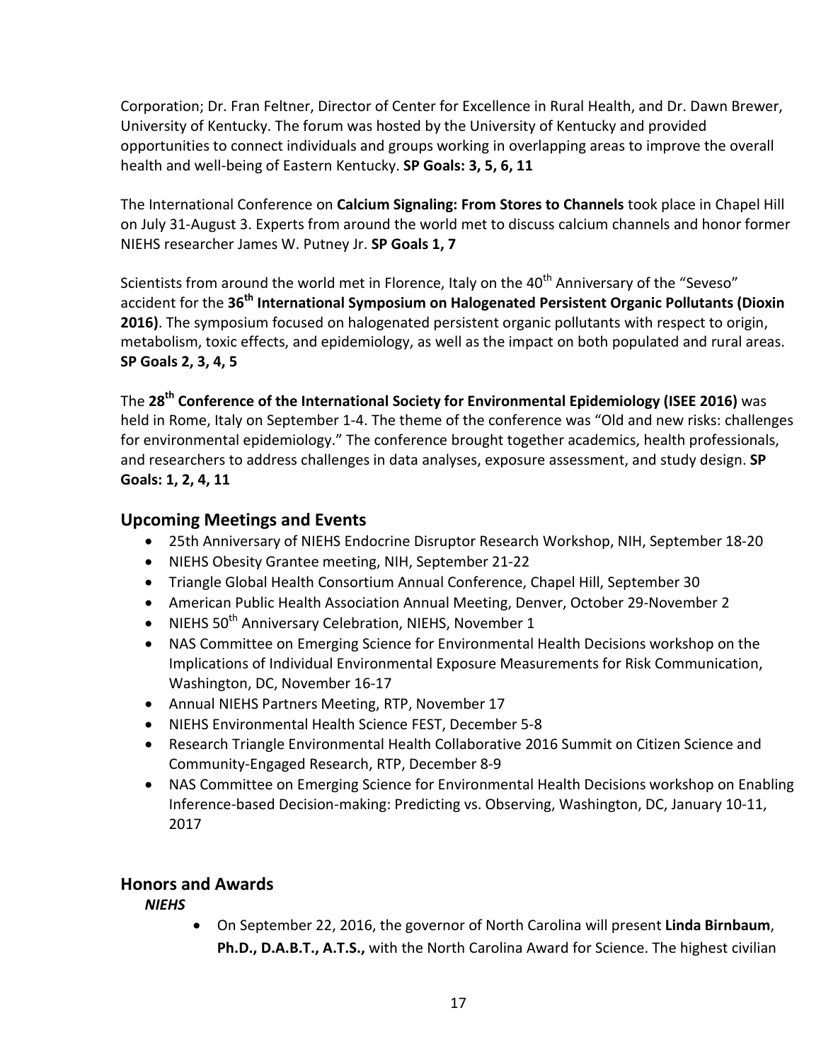Corporation; Dr. Fran Feltner, Director of Center for Excellence in Rural Health, and Dr. Dawn Brewer, University of Kentucky. The forum was hosted by the University of Kentucky and provided opportunities to connect individuals and groups working in overlapping areas to improve the overall health and well-being of Eastern Kentucky. **SP Goals: 3, 5, 6, 11**

The International Conference on **Calcium Signaling: From Stores to Channels** took place in Chapel Hill on July 31-August 3. Experts from around the world met to discuss calcium channels and honor former NIEHS researcher James W. Putney Jr. **SP Goals 1, 7**

Scientists from around the world met in Florence, Italy on the 40<sup>th</sup> Anniversary of the "Seveso" accident for the **36th International Symposium on Halogenated Persistent Organic Pollutants (Dioxin 2016)**. The symposium focused on halogenated persistent organic pollutants with respect to origin, metabolism, toxic effects, and epidemiology, as well as the impact on both populated and rural areas. **SP Goals 2, 3, 4, 5**

The **28th Conference of the International Society for Environmental Epidemiology (ISEE 2016)** was held in Rome, Italy on September 1-4. The theme of the conference was "Old and new risks: challenges for environmental epidemiology." The conference brought together academics, health professionals, and researchers to address challenges in data analyses, exposure assessment, and study design. **SP Goals: 1, 2, 4, 11**

# **Upcoming Meetings and Events**

- 25th Anniversary of NIEHS Endocrine Disruptor Research Workshop, NIH, September 18-20
- NIEHS Obesity Grantee meeting, NIH, September 21-22
- Triangle Global Health Consortium Annual Conference, Chapel Hill, September 30
- American Public Health Association Annual Meeting, Denver, October 29-November 2
- NIEHS  $50<sup>th</sup>$  Anniversary Celebration, NIEHS, November 1
- NAS Committee on Emerging Science for Environmental Health Decisions workshop on the Implications of Individual Environmental Exposure Measurements for Risk Communication, Washington, DC, November 16-17
- Annual NIEHS Partners Meeting, RTP, November 17
- NIEHS Environmental Health Science FEST, December 5-8
- Research Triangle Environmental Health Collaborative 2016 Summit on Citizen Science and Community-Engaged Research, RTP, December 8-9
- NAS Committee on Emerging Science for Environmental Health Decisions workshop on Enabling Inference-based Decision-making: Predicting vs. Observing, Washington, DC, January 10-11, 2017

# **Honors and Awards**

*NIEHS* 

• On September 22, 2016, the governor of North Carolina will present **Linda Birnbaum**, **Ph.D., D.A.B.T., A.T.S.,** with the North Carolina Award for Science. The highest civilian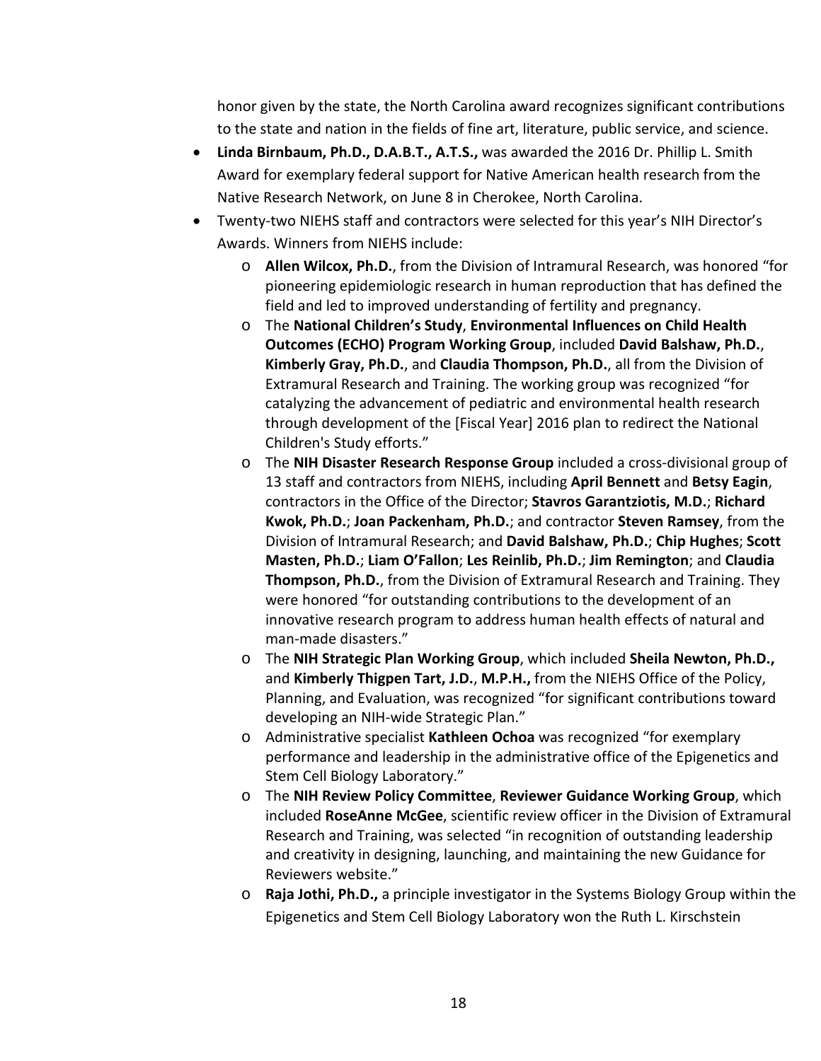honor given by the state, the North Carolina award recognizes significant contributions to the state and nation in the fields of fine art, literature, public service, and science.

- **Linda Birnbaum, Ph.D., D.A.B.T., A.T.S.,** was awarded the 2016 Dr. Phillip L. Smith Award for exemplary federal support for Native American health research from the Native Research Network, on June 8 in Cherokee, North Carolina.
- Twenty-two NIEHS staff and contractors were selected for this year's NIH Director's Awards. Winners from NIEHS include:
	- o **Allen Wilcox, Ph.D.**, from the Division of Intramural Research, was honored "for pioneering epidemiologic research in human reproduction that has defined the field and led to improved understanding of fertility and pregnancy.
	- o The **National Children's Study**, **Environmental Influences on Child Health Outcomes (ECHO) Program Working Group**, included **David Balshaw, Ph.D.**, **Kimberly Gray, Ph.D.**, and **Claudia Thompson, Ph.D.**, all from the Division of Extramural Research and Training. The working group was recognized "for catalyzing the advancement of pediatric and environmental health research through development of the [Fiscal Year] 2016 plan to redirect the National Children's Study efforts."
	- o The **NIH Disaster Research Response Group** included a cross-divisional group of 13 staff and contractors from NIEHS, including **April Bennett** and **Betsy Eagin**, contractors in the Office of the Director; **Stavros Garantziotis, M.D.**; **Richard Kwok, Ph.D.**; **Joan Packenham, Ph.D.**; and contractor **Steven Ramsey**, from the Division of Intramural Research; and **David Balshaw, Ph.D.**; **Chip Hughes**; **Scott Masten, Ph.D.**; **Liam O'Fallon**; **Les Reinlib, Ph.D.**; **Jim Remington**; and **Claudia Thompson, Ph.D.**, from the Division of Extramural Research and Training. They were honored "for outstanding contributions to the development of an innovative research program to address human health effects of natural and man-made disasters."
	- o The **NIH Strategic Plan Working Group**, which included **Sheila Newton, Ph.D.,** and **Kimberly Thigpen Tart, J.D.**, **M.P.H.,** from the NIEHS Office of the Policy, Planning, and Evaluation, was recognized "for significant contributions toward developing an NIH-wide Strategic Plan."
	- o Administrative specialist **Kathleen Ochoa** was recognized "for exemplary performance and leadership in the administrative office of the Epigenetics and Stem Cell Biology Laboratory."
	- o The **NIH Review Policy Committee**, **Reviewer Guidance Working Group**, which included **RoseAnne McGee**, scientific review officer in the Division of Extramural Research and Training, was selected "in recognition of outstanding leadership and creativity in designing, launching, and maintaining the new Guidance for Reviewers website."
	- o **Raja Jothi, Ph.D.,** a principle investigator in the Systems Biology Group within the Epigenetics and Stem Cell Biology Laboratory won the Ruth L. Kirschstein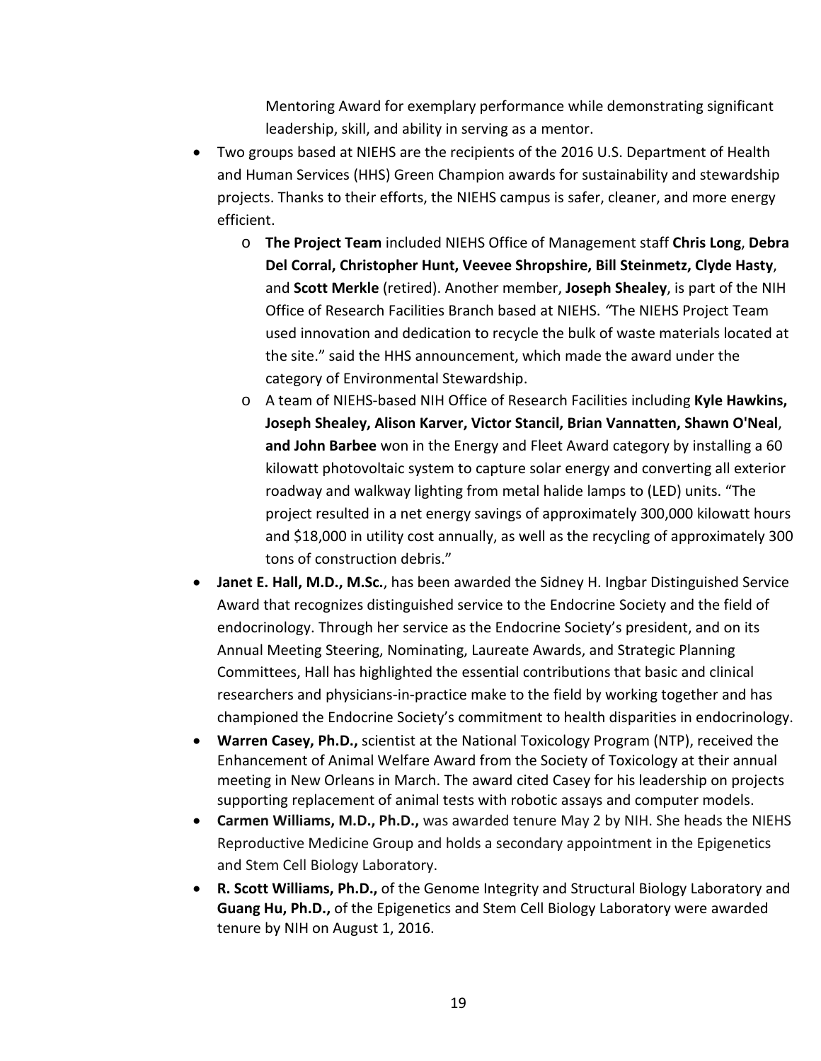Mentoring Award for exemplary performance while demonstrating significant leadership, skill, and ability in serving as a mentor.

- Two groups based at NIEHS are the recipients of the 2016 U.S. Department of Health and Human Services (HHS) Green Champion awards for sustainability and stewardship projects. Thanks to their efforts, the NIEHS campus is safer, cleaner, and more energy efficient.
	- o **The Project Team** included NIEHS Office of Management staff **Chris Long**, **Debra Del Corral, Christopher Hunt, Veevee Shropshire, Bill Steinmetz, Clyde Hasty**, and **Scott Merkle** (retired). Another member, **Joseph Shealey**, is part of the NIH Office of Research Facilities Branch based at NIEHS. *"*The NIEHS Project Team used innovation and dedication to recycle the bulk of waste materials located at the site." said the HHS announcement, which made the award under the category of Environmental Stewardship.
	- o A team of NIEHS-based NIH Office of Research Facilities including **Kyle Hawkins, Joseph Shealey, Alison Karver, Victor Stancil, Brian Vannatten, Shawn O'Neal**, **and John Barbee** won in the Energy and Fleet Award category by installing a 60 kilowatt photovoltaic system to capture solar energy and converting all exterior roadway and walkway lighting from metal halide lamps to (LED) units. "The project resulted in a net energy savings of approximately 300,000 kilowatt hours and \$18,000 in utility cost annually, as well as the recycling of approximately 300 tons of construction debris."
- **Janet E. Hall, M.D., M.Sc.**, has been awarded the Sidney H. Ingbar Distinguished Service Award that recognizes distinguished service to the Endocrine Society and the field of endocrinology. Through her service as the Endocrine Society's president, and on its Annual Meeting Steering, Nominating, Laureate Awards, and Strategic Planning Committees, Hall has highlighted the essential contributions that basic and clinical researchers and physicians-in-practice make to the field by working together and has championed the Endocrine Society's commitment to health disparities in endocrinology.
- **Warren Casey, Ph.D.,** scientist at the National Toxicology Program (NTP), received the Enhancement of Animal Welfare Award from the Society of Toxicology at their annual meeting in New Orleans in March. The award cited Casey for his leadership on projects supporting replacement of animal tests with robotic assays and computer models.
- **Carmen Williams, M.D., Ph.D.,** was awarded tenure May 2 by NIH. She heads the NIEHS Reproductive Medicine Group and holds a secondary appointment in the Epigenetics and Stem Cell Biology Laboratory.
- **R. Scott Williams, Ph.D.,** of the Genome Integrity and Structural Biology Laboratory and **Guang Hu, Ph.D.,** of the Epigenetics and Stem Cell Biology Laboratory were awarded tenure by NIH on August 1, 2016.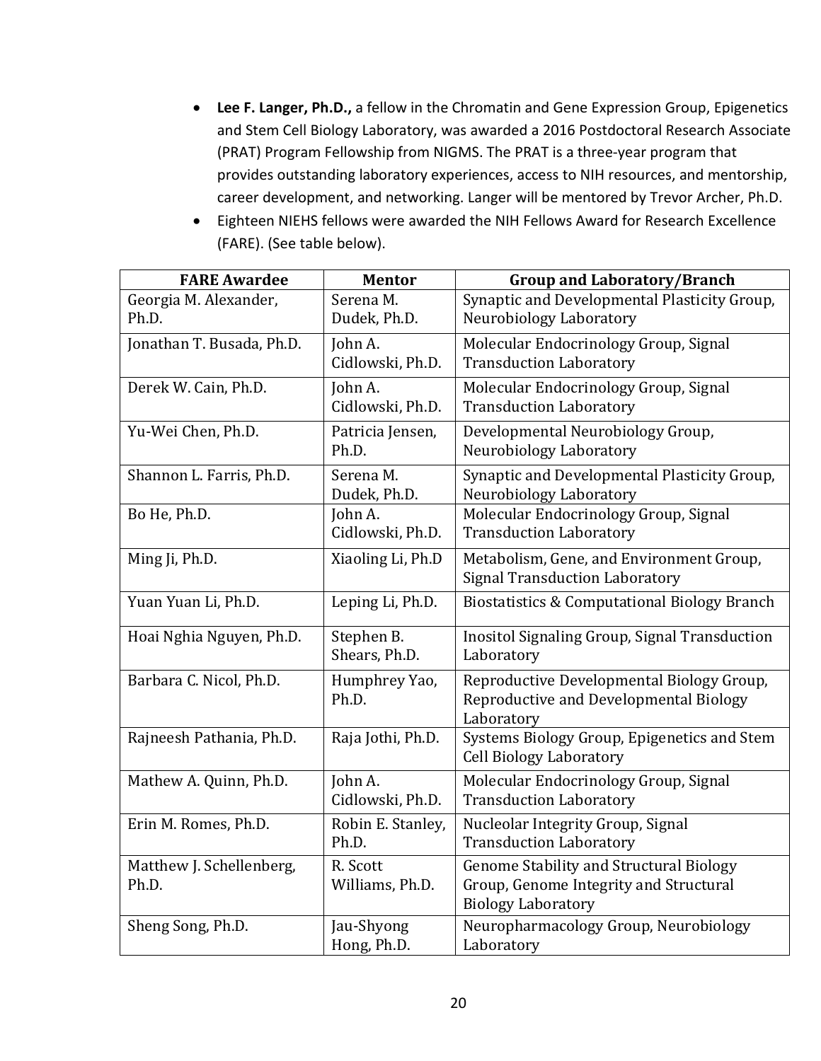- **Lee F. Langer, Ph.D.,** a fellow in the Chromatin and Gene Expression Group, Epigenetics and Stem Cell Biology Laboratory, was awarded a 2016 Postdoctoral Research Associate (PRAT) Program Fellowship from NIGMS. The PRAT is a three-year program that provides outstanding laboratory experiences, access to NIH resources, and mentorship, career development, and networking. Langer will be mentored by Trevor Archer, Ph.D.
- Eighteen NIEHS fellows were awarded the NIH Fellows Award for Research Excellence (FARE). (See table below).

| <b>FARE Awardee</b>               | <b>Mentor</b>               | <b>Group and Laboratory/Branch</b>                                                                             |  |
|-----------------------------------|-----------------------------|----------------------------------------------------------------------------------------------------------------|--|
| Georgia M. Alexander,<br>Ph.D.    | Serena M.<br>Dudek, Ph.D.   | Synaptic and Developmental Plasticity Group,<br>Neurobiology Laboratory                                        |  |
| Jonathan T. Busada, Ph.D.         | John A.<br>Cidlowski, Ph.D. | Molecular Endocrinology Group, Signal<br><b>Transduction Laboratory</b>                                        |  |
| Derek W. Cain, Ph.D.              | John A.<br>Cidlowski, Ph.D. | Molecular Endocrinology Group, Signal<br><b>Transduction Laboratory</b>                                        |  |
| Yu-Wei Chen, Ph.D.                | Patricia Jensen,<br>Ph.D.   | Developmental Neurobiology Group,<br>Neurobiology Laboratory                                                   |  |
| Shannon L. Farris, Ph.D.          | Serena M.<br>Dudek, Ph.D.   | Synaptic and Developmental Plasticity Group,<br>Neurobiology Laboratory                                        |  |
| Bo He, Ph.D.                      | John A.<br>Cidlowski, Ph.D. | Molecular Endocrinology Group, Signal<br><b>Transduction Laboratory</b>                                        |  |
| Ming Ji, Ph.D.                    | Xiaoling Li, Ph.D           | Metabolism, Gene, and Environment Group,<br><b>Signal Transduction Laboratory</b>                              |  |
| Yuan Yuan Li, Ph.D.               | Leping Li, Ph.D.            | <b>Biostatistics &amp; Computational Biology Branch</b>                                                        |  |
| Hoai Nghia Nguyen, Ph.D.          | Stephen B.<br>Shears, Ph.D. | Inositol Signaling Group, Signal Transduction<br>Laboratory                                                    |  |
| Barbara C. Nicol, Ph.D.           | Humphrey Yao,<br>Ph.D.      | Reproductive Developmental Biology Group,<br>Reproductive and Developmental Biology<br>Laboratory              |  |
| Rajneesh Pathania, Ph.D.          | Raja Jothi, Ph.D.           | Systems Biology Group, Epigenetics and Stem<br><b>Cell Biology Laboratory</b>                                  |  |
| Mathew A. Quinn, Ph.D.            | John A.<br>Cidlowski, Ph.D. | Molecular Endocrinology Group, Signal<br><b>Transduction Laboratory</b>                                        |  |
| Erin M. Romes, Ph.D.              | Robin E. Stanley,<br>Ph.D.  | Nucleolar Integrity Group, Signal<br><b>Transduction Laboratory</b>                                            |  |
| Matthew J. Schellenberg,<br>Ph.D. | R. Scott<br>Williams, Ph.D. | Genome Stability and Structural Biology<br>Group, Genome Integrity and Structural<br><b>Biology Laboratory</b> |  |
| Sheng Song, Ph.D.                 | Jau-Shyong<br>Hong, Ph.D.   | Neuropharmacology Group, Neurobiology<br>Laboratory                                                            |  |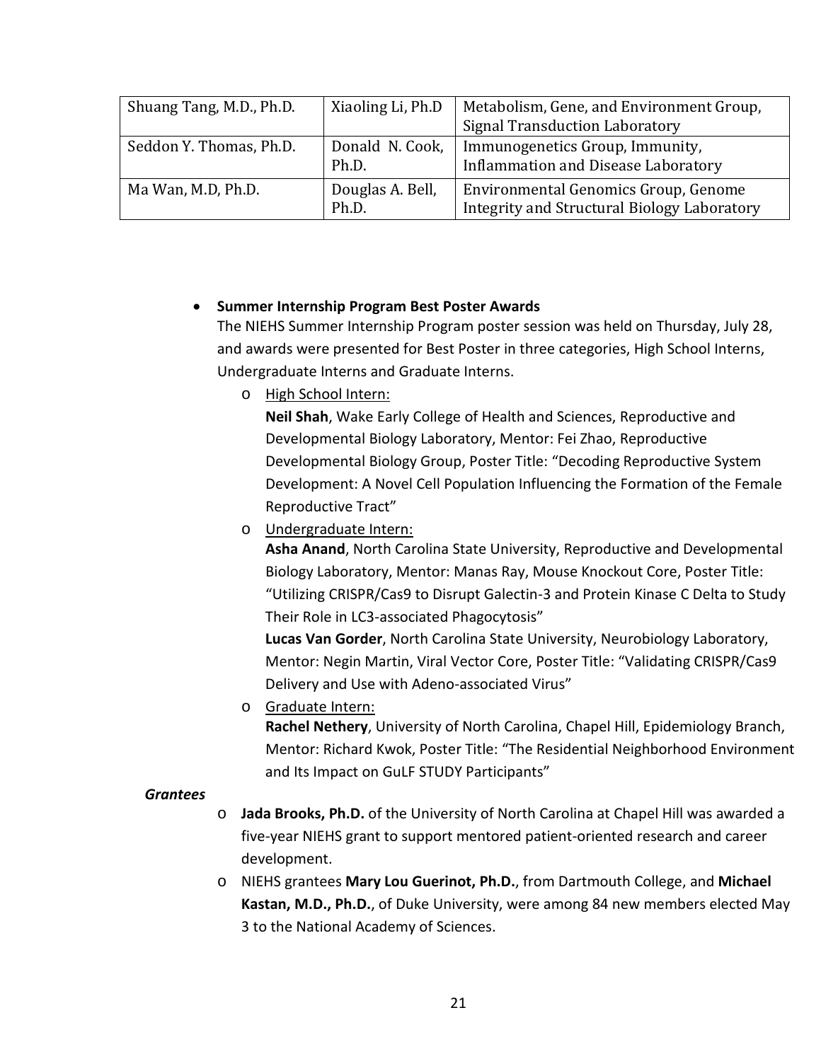| Shuang Tang, M.D., Ph.D. | Xiaoling Li, Ph.D         | Metabolism, Gene, and Environment Group,<br><b>Signal Transduction Laboratory</b>   |
|--------------------------|---------------------------|-------------------------------------------------------------------------------------|
| Seddon Y. Thomas, Ph.D.  | Donald N. Cook,<br>Ph.D.  | Immunogenetics Group, Immunity,<br><b>Inflammation and Disease Laboratory</b>       |
| Ma Wan, M.D, Ph.D.       | Douglas A. Bell,<br>Ph.D. | Environmental Genomics Group, Genome<br>Integrity and Structural Biology Laboratory |

#### • **Summer Internship Program Best Poster Awards**

The NIEHS Summer Internship Program poster session was held on Thursday, July 28, and awards were presented for Best Poster in three categories, High School Interns, Undergraduate Interns and Graduate Interns.

o High School Intern:

**Neil Shah**, Wake Early College of Health and Sciences, Reproductive and Developmental Biology Laboratory, Mentor: Fei Zhao, Reproductive Developmental Biology Group, Poster Title: "Decoding Reproductive System Development: A Novel Cell Population Influencing the Formation of the Female Reproductive Tract"

o Undergraduate Intern:

**Asha Anand**, North Carolina State University, Reproductive and Developmental Biology Laboratory, Mentor: Manas Ray, Mouse Knockout Core, Poster Title: "Utilizing CRISPR/Cas9 to Disrupt Galectin-3 and Protein Kinase C Delta to Study Their Role in LC3-associated Phagocytosis"

**Lucas Van Gorder**, North Carolina State University, Neurobiology Laboratory, Mentor: Negin Martin, Viral Vector Core, Poster Title: "Validating CRISPR/Cas9 Delivery and Use with Adeno-associated Virus"

o Graduate Intern: **Rachel Nethery**, University of North Carolina, Chapel Hill, Epidemiology Branch, Mentor: Richard Kwok, Poster Title: "The Residential Neighborhood Environment and Its Impact on GuLF STUDY Participants"

#### *Grantees*

- o **Jada Brooks, Ph.D.** of the University of North Carolina at Chapel Hill was awarded a five-year NIEHS grant to support mentored patient-oriented research and career development.
- o NIEHS grantees **Mary Lou Guerinot, Ph.D.**, from Dartmouth College, and **Michael Kastan, M.D., Ph.D.**, of Duke University, were among 84 new members elected May 3 to the National Academy of Sciences.